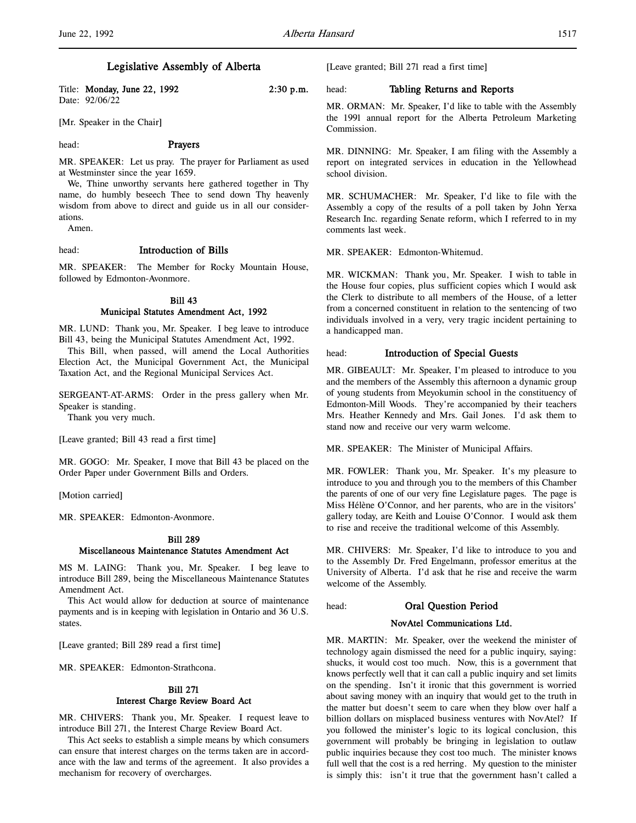# Legislative Assembly of Alberta

Title: **Monday, June 22, 1992** 2:30 p.m. Date: 92/06/22

[Mr. Speaker in the Chair]

#### head: **Prayers**

MR. SPEAKER: Let us pray. The prayer for Parliament as used at Westminster since the year 1659.

We, Thine unworthy servants here gathered together in Thy name, do humbly beseech Thee to send down Thy heavenly wisdom from above to direct and guide us in all our considerations.

Amen.

### head: Introduction of Bills

MR. SPEAKER: The Member for Rocky Mountain House, followed by Edmonton-Avonmore.

## Bill 43 Municipal Statutes Amendment Act, 1992

MR. LUND: Thank you, Mr. Speaker. I beg leave to introduce Bill 43, being the Municipal Statutes Amendment Act, 1992.

This Bill, when passed, will amend the Local Authorities Election Act, the Municipal Government Act, the Municipal Taxation Act, and the Regional Municipal Services Act.

SERGEANT-AT-ARMS: Order in the press gallery when Mr. Speaker is standing.

Thank you very much.

[Leave granted; Bill 43 read a first time]

MR. GOGO: Mr. Speaker, I move that Bill 43 be placed on the Order Paper under Government Bills and Orders.

[Motion carried]

MR. SPEAKER: Edmonton-Avonmore.

#### Bill 289

### Miscellaneous Maintenance Statutes Amendment Act

MS M. LAING: Thank you, Mr. Speaker. I beg leave to introduce Bill 289, being the Miscellaneous Maintenance Statutes Amendment Act.

This Act would allow for deduction at source of maintenance payments and is in keeping with legislation in Ontario and 36 U.S. states.

[Leave granted; Bill 289 read a first time]

MR. SPEAKER: Edmonton-Strathcona.

# Bill 271 Interest Charge Review Board Act

MR. CHIVERS: Thank you, Mr. Speaker. I request leave to introduce Bill 271, the Interest Charge Review Board Act.

This Act seeks to establish a simple means by which consumers can ensure that interest charges on the terms taken are in accordance with the law and terms of the agreement. It also provides a mechanism for recovery of overcharges.

[Leave granted; Bill 271 read a first time]

### head: Tabling Returns and Reports

MR. ORMAN: Mr. Speaker, I'd like to table with the Assembly the 1991 annual report for the Alberta Petroleum Marketing Commission.

MR. DINNING: Mr. Speaker, I am filing with the Assembly a report on integrated services in education in the Yellowhead school division.

MR. SCHUMACHER: Mr. Speaker, I'd like to file with the Assembly a copy of the results of a poll taken by John Yerxa Research Inc. regarding Senate reform, which I referred to in my comments last week.

MR. SPEAKER: Edmonton-Whitemud.

MR. WICKMAN: Thank you, Mr. Speaker. I wish to table in the House four copies, plus sufficient copies which I would ask the Clerk to distribute to all members of the House, of a letter from a concerned constituent in relation to the sentencing of two individuals involved in a very, very tragic incident pertaining to a handicapped man.

#### head: **Introduction of Special Guests**

MR. GIBEAULT: Mr. Speaker, I'm pleased to introduce to you and the members of the Assembly this afternoon a dynamic group of young students from Meyokumin school in the constituency of Edmonton-Mill Woods. They're accompanied by their teachers Mrs. Heather Kennedy and Mrs. Gail Jones. I'd ask them to stand now and receive our very warm welcome.

MR. SPEAKER: The Minister of Municipal Affairs.

MR. FOWLER: Thank you, Mr. Speaker. It's my pleasure to introduce to you and through you to the members of this Chamber the parents of one of our very fine Legislature pages. The page is Miss Hélène O'Connor, and her parents, who are in the visitors' gallery today, are Keith and Louise O'Connor. I would ask them to rise and receive the traditional welcome of this Assembly.

MR. CHIVERS: Mr. Speaker, I'd like to introduce to you and to the Assembly Dr. Fred Engelmann, professor emeritus at the University of Alberta. I'd ask that he rise and receive the warm welcome of the Assembly.

#### head: Oral Question Period

### NovAtel Communications Ltd.

MR. MARTIN: Mr. Speaker, over the weekend the minister of technology again dismissed the need for a public inquiry, saying: shucks, it would cost too much. Now, this is a government that knows perfectly well that it can call a public inquiry and set limits on the spending. Isn't it ironic that this government is worried about saving money with an inquiry that would get to the truth in the matter but doesn't seem to care when they blow over half a billion dollars on misplaced business ventures with NovAtel? If you followed the minister's logic to its logical conclusion, this government will probably be bringing in legislation to outlaw public inquiries because they cost too much. The minister knows full well that the cost is a red herring. My question to the minister is simply this: isn't it true that the government hasn't called a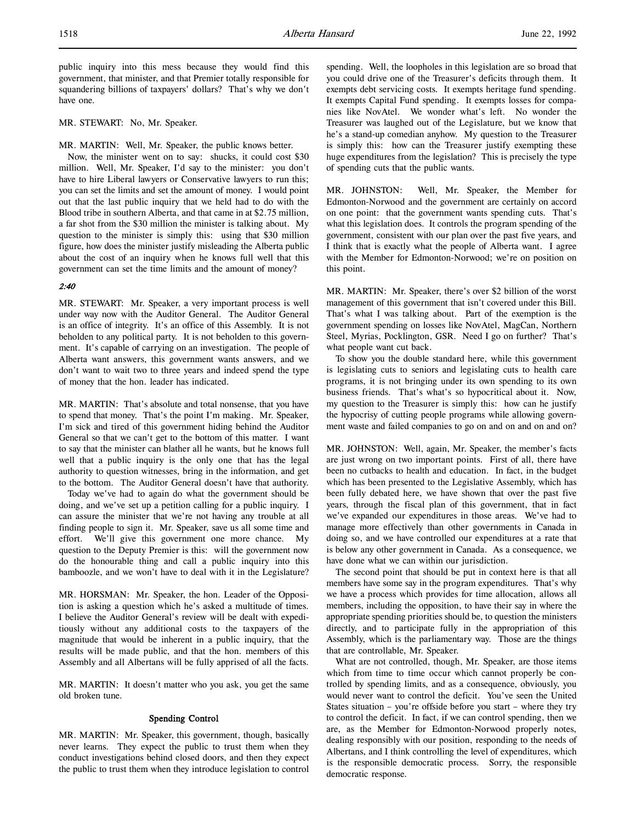public inquiry into this mess because they would find this government, that minister, and that Premier totally responsible for squandering billions of taxpayers' dollars? That's why we don't have one.

### MR. STEWART: No, Mr. Speaker.

MR. MARTIN: Well, Mr. Speaker, the public knows better.

Now, the minister went on to say: shucks, it could cost \$30 million. Well, Mr. Speaker, I'd say to the minister: you don't have to hire Liberal lawyers or Conservative lawyers to run this; you can set the limits and set the amount of money. I would point out that the last public inquiry that we held had to do with the Blood tribe in southern Alberta, and that came in at \$2.75 million, a far shot from the \$30 million the minister is talking about. My question to the minister is simply this: using that \$30 million figure, how does the minister justify misleading the Alberta public about the cost of an inquiry when he knows full well that this government can set the time limits and the amount of money?

### 2:40

MR. STEWART: Mr. Speaker, a very important process is well under way now with the Auditor General. The Auditor General is an office of integrity. It's an office of this Assembly. It is not beholden to any political party. It is not beholden to this government. It's capable of carrying on an investigation. The people of Alberta want answers, this government wants answers, and we don't want to wait two to three years and indeed spend the type of money that the hon. leader has indicated.

MR. MARTIN: That's absolute and total nonsense, that you have to spend that money. That's the point I'm making. Mr. Speaker, I'm sick and tired of this government hiding behind the Auditor General so that we can't get to the bottom of this matter. I want to say that the minister can blather all he wants, but he knows full well that a public inquiry is the only one that has the legal authority to question witnesses, bring in the information, and get to the bottom. The Auditor General doesn't have that authority.

Today we've had to again do what the government should be doing, and we've set up a petition calling for a public inquiry. I can assure the minister that we're not having any trouble at all finding people to sign it. Mr. Speaker, save us all some time and effort. We'll give this government one more chance. My question to the Deputy Premier is this: will the government now do the honourable thing and call a public inquiry into this bamboozle, and we won't have to deal with it in the Legislature?

MR. HORSMAN: Mr. Speaker, the hon. Leader of the Opposition is asking a question which he's asked a multitude of times. I believe the Auditor General's review will be dealt with expeditiously without any additional costs to the taxpayers of the magnitude that would be inherent in a public inquiry, that the results will be made public, and that the hon. members of this Assembly and all Albertans will be fully apprised of all the facts.

MR. MARTIN: It doesn't matter who you ask, you get the same old broken tune.

## Spending Control

MR. MARTIN: Mr. Speaker, this government, though, basically never learns. They expect the public to trust them when they conduct investigations behind closed doors, and then they expect the public to trust them when they introduce legislation to control

spending. Well, the loopholes in this legislation are so broad that you could drive one of the Treasurer's deficits through them. It exempts debt servicing costs. It exempts heritage fund spending. It exempts Capital Fund spending. It exempts losses for companies like NovAtel. We wonder what's left. No wonder the Treasurer was laughed out of the Legislature, but we know that he's a stand-up comedian anyhow. My question to the Treasurer is simply this: how can the Treasurer justify exempting these huge expenditures from the legislation? This is precisely the type of spending cuts that the public wants.

MR. JOHNSTON: Well, Mr. Speaker, the Member for Edmonton-Norwood and the government are certainly on accord on one point: that the government wants spending cuts. That's what this legislation does. It controls the program spending of the government, consistent with our plan over the past five years, and I think that is exactly what the people of Alberta want. I agree with the Member for Edmonton-Norwood; we're on position on this point.

MR. MARTIN: Mr. Speaker, there's over \$2 billion of the worst management of this government that isn't covered under this Bill. That's what I was talking about. Part of the exemption is the government spending on losses like NovAtel, MagCan, Northern Steel, Myrias, Pocklington, GSR. Need I go on further? That's what people want cut back.

To show you the double standard here, while this government is legislating cuts to seniors and legislating cuts to health care programs, it is not bringing under its own spending to its own business friends. That's what's so hypocritical about it. Now, my question to the Treasurer is simply this: how can he justify the hypocrisy of cutting people programs while allowing government waste and failed companies to go on and on and on and on?

MR. JOHNSTON: Well, again, Mr. Speaker, the member's facts are just wrong on two important points. First of all, there have been no cutbacks to health and education. In fact, in the budget which has been presented to the Legislative Assembly, which has been fully debated here, we have shown that over the past five years, through the fiscal plan of this government, that in fact we've expanded our expenditures in those areas. We've had to manage more effectively than other governments in Canada in doing so, and we have controlled our expenditures at a rate that is below any other government in Canada. As a consequence, we have done what we can within our jurisdiction.

The second point that should be put in context here is that all members have some say in the program expenditures. That's why we have a process which provides for time allocation, allows all members, including the opposition, to have their say in where the appropriate spending priorities should be, to question the ministers directly, and to participate fully in the appropriation of this Assembly, which is the parliamentary way. Those are the things that are controllable, Mr. Speaker.

What are not controlled, though, Mr. Speaker, are those items which from time to time occur which cannot properly be controlled by spending limits, and as a consequence, obviously, you would never want to control the deficit. You've seen the United States situation – you're offside before you start – where they try to control the deficit. In fact, if we can control spending, then we are, as the Member for Edmonton-Norwood properly notes, dealing responsibly with our position, responding to the needs of Albertans, and I think controlling the level of expenditures, which is the responsible democratic process. Sorry, the responsible democratic response.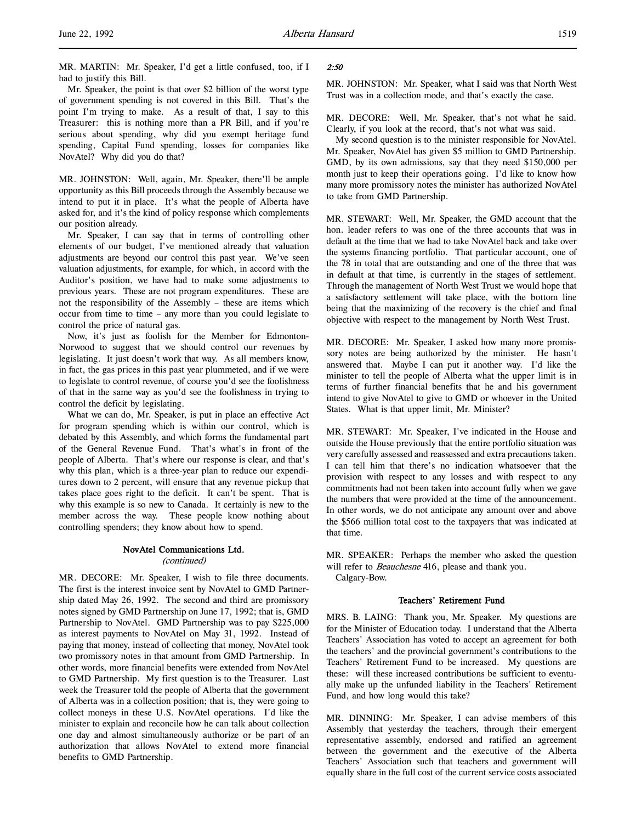MR. MARTIN: Mr. Speaker, I'd get a little confused, too, if I had to justify this Bill.

Mr. Speaker, the point is that over \$2 billion of the worst type of government spending is not covered in this Bill. That's the point I'm trying to make. As a result of that, I say to this Treasurer: this is nothing more than a PR Bill, and if you're serious about spending, why did you exempt heritage fund spending, Capital Fund spending, losses for companies like NovAtel? Why did you do that?

MR. JOHNSTON: Well, again, Mr. Speaker, there'll be ample opportunity as this Bill proceeds through the Assembly because we intend to put it in place. It's what the people of Alberta have asked for, and it's the kind of policy response which complements our position already.

Mr. Speaker, I can say that in terms of controlling other elements of our budget, I've mentioned already that valuation adjustments are beyond our control this past year. We've seen valuation adjustments, for example, for which, in accord with the Auditor's position, we have had to make some adjustments to previous years. These are not program expenditures. These are not the responsibility of the Assembly – these are items which occur from time to time – any more than you could legislate to control the price of natural gas.

Now, it's just as foolish for the Member for Edmonton-Norwood to suggest that we should control our revenues by legislating. It just doesn't work that way. As all members know, in fact, the gas prices in this past year plummeted, and if we were to legislate to control revenue, of course you'd see the foolishness of that in the same way as you'd see the foolishness in trying to control the deficit by legislating.

What we can do, Mr. Speaker, is put in place an effective Act for program spending which is within our control, which is debated by this Assembly, and which forms the fundamental part of the General Revenue Fund. That's what's in front of the people of Alberta. That's where our response is clear, and that's why this plan, which is a three-year plan to reduce our expenditures down to 2 percent, will ensure that any revenue pickup that takes place goes right to the deficit. It can't be spent. That is why this example is so new to Canada. It certainly is new to the member across the way. These people know nothing about controlling spenders; they know about how to spend.

# NovAtel Communications Ltd. (continued)

MR. DECORE: Mr. Speaker, I wish to file three documents. The first is the interest invoice sent by NovAtel to GMD Partnership dated May 26, 1992. The second and third are promissory notes signed by GMD Partnership on June 17, 1992; that is, GMD Partnership to NovAtel. GMD Partnership was to pay \$225,000 as interest payments to NovAtel on May 31, 1992. Instead of paying that money, instead of collecting that money, NovAtel took two promissory notes in that amount from GMD Partnership. In other words, more financial benefits were extended from NovAtel to GMD Partnership. My first question is to the Treasurer. Last week the Treasurer told the people of Alberta that the government of Alberta was in a collection position; that is, they were going to collect moneys in these U.S. NovAtel operations. I'd like the minister to explain and reconcile how he can talk about collection one day and almost simultaneously authorize or be part of an authorization that allows NovAtel to extend more financial benefits to GMD Partnership.

### 2:50

MR. JOHNSTON: Mr. Speaker, what I said was that North West Trust was in a collection mode, and that's exactly the case.

MR. DECORE: Well, Mr. Speaker, that's not what he said. Clearly, if you look at the record, that's not what was said.

My second question is to the minister responsible for NovAtel. Mr. Speaker, NovAtel has given \$5 million to GMD Partnership. GMD, by its own admissions, say that they need \$150,000 per month just to keep their operations going. I'd like to know how many more promissory notes the minister has authorized NovAtel to take from GMD Partnership.

MR. STEWART: Well, Mr. Speaker, the GMD account that the hon. leader refers to was one of the three accounts that was in default at the time that we had to take NovAtel back and take over the systems financing portfolio. That particular account, one of the 78 in total that are outstanding and one of the three that was in default at that time, is currently in the stages of settlement. Through the management of North West Trust we would hope that a satisfactory settlement will take place, with the bottom line being that the maximizing of the recovery is the chief and final objective with respect to the management by North West Trust.

MR. DECORE: Mr. Speaker, I asked how many more promissory notes are being authorized by the minister. He hasn't answered that. Maybe I can put it another way. I'd like the minister to tell the people of Alberta what the upper limit is in terms of further financial benefits that he and his government intend to give NovAtel to give to GMD or whoever in the United States. What is that upper limit, Mr. Minister?

MR. STEWART: Mr. Speaker, I've indicated in the House and outside the House previously that the entire portfolio situation was very carefully assessed and reassessed and extra precautions taken. I can tell him that there's no indication whatsoever that the provision with respect to any losses and with respect to any commitments had not been taken into account fully when we gave the numbers that were provided at the time of the announcement. In other words, we do not anticipate any amount over and above the \$566 million total cost to the taxpayers that was indicated at that time.

MR. SPEAKER: Perhaps the member who asked the question will refer to Beauchesne 416, please and thank you. Calgary-Bow.

### Teachers' Retirement Fund

MRS. B. LAING: Thank you, Mr. Speaker. My questions are for the Minister of Education today. I understand that the Alberta Teachers' Association has voted to accept an agreement for both the teachers' and the provincial government's contributions to the Teachers' Retirement Fund to be increased. My questions are these: will these increased contributions be sufficient to eventually make up the unfunded liability in the Teachers' Retirement Fund, and how long would this take?

MR. DINNING: Mr. Speaker, I can advise members of this Assembly that yesterday the teachers, through their emergent representative assembly, endorsed and ratified an agreement between the government and the executive of the Alberta Teachers' Association such that teachers and government will equally share in the full cost of the current service costs associated

l,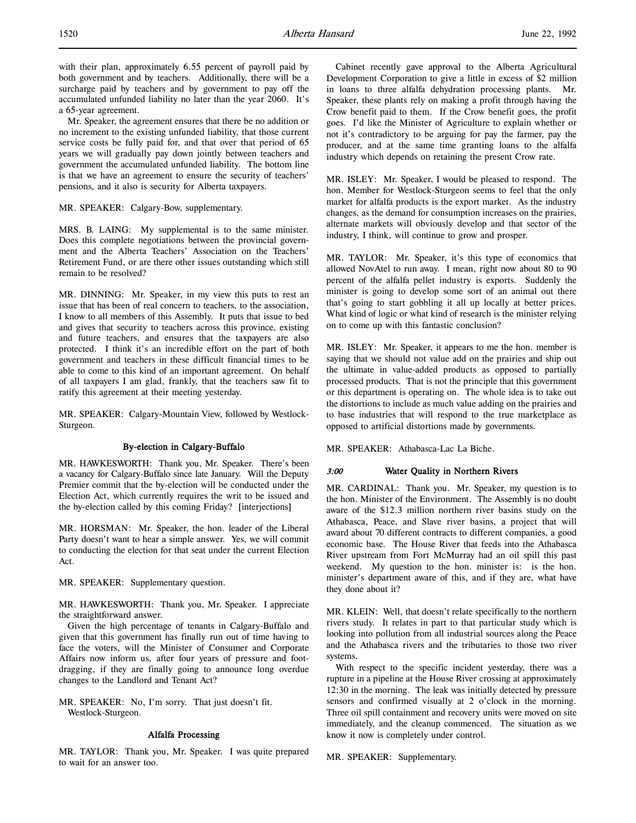with their plan, approximately 6.55 percent of payroll paid by both government and by teachers. Additionally, there will be a surcharge paid by teachers and by government to pay off the accumulated unfunded liability no later than the year 2060. It's a 65-year agreement.

Mr. Speaker, the agreement ensures that there be no addition or no increment to the existing unfunded liability, that those current service costs be fully paid for, and that over that period of 65 years we will gradually pay down jointly between teachers and government the accumulated unfunded liability. The bottom line is that we have an agreement to ensure the security of teachers' pensions, and it also is security for Alberta taxpayers.

### MR. SPEAKER: Calgary-Bow, supplementary.

MRS. B. LAING: My supplemental is to the same minister. Does this complete negotiations between the provincial government and the Alberta Teachers' Association on the Teachers' Retirement Fund, or are there other issues outstanding which still remain to be resolved?

MR. DINNING: Mr. Speaker, in my view this puts to rest an issue that has been of real concern to teachers, to the association, I know to all members of this Assembly. It puts that issue to bed and gives that security to teachers across this province, existing and future teachers, and ensures that the taxpayers are also protected. I think it's an incredible effort on the part of both government and teachers in these difficult financial times to be able to come to this kind of an important agreement. On behalf of all taxpayers I am glad, frankly, that the teachers saw fit to ratify this agreement at their meeting yesterday.

MR. SPEAKER: Calgary-Mountain View, followed by Westlock-Sturgeon.

### By-election in Calgary-Buffalo

MR. HAWKESWORTH: Thank you, Mr. Speaker. There's been a vacancy for Calgary-Buffalo since late January. Will the Deputy Premier commit that the by-election will be conducted under the Election Act, which currently requires the writ to be issued and the by-election called by this coming Friday? [interjections]

MR. HORSMAN: Mr. Speaker, the hon. leader of the Liberal Party doesn't want to hear a simple answer. Yes, we will commit to conducting the election for that seat under the current Election Act.

### MR. SPEAKER: Supplementary question.

MR. HAWKESWORTH: Thank you, Mr. Speaker. I appreciate the straightforward answer.

Given the high percentage of tenants in Calgary-Buffalo and given that this government has finally run out of time having to face the voters, will the Minister of Consumer and Corporate Affairs now inform us, after four years of pressure and footdragging, if they are finally going to announce long overdue changes to the Landlord and Tenant Act?

MR. SPEAKER: No, I'm sorry. That just doesn't fit. Westlock-Sturgeon.

#### Alfalfa Processing

MR. TAYLOR: Thank you, Mr. Speaker. I was quite prepared to wait for an answer too.

Cabinet recently gave approval to the Alberta Agricultural Development Corporation to give a little in excess of \$2 million in loans to three alfalfa dehydration processing plants. Mr. Speaker, these plants rely on making a profit through having the Crow benefit paid to them. If the Crow benefit goes, the profit goes. I'd like the Minister of Agriculture to explain whether or not it's contradictory to be arguing for pay the farmer, pay the producer, and at the same time granting loans to the alfalfa industry which depends on retaining the present Crow rate.

MR. ISLEY: Mr. Speaker, I would be pleased to respond. The hon. Member for Westlock-Sturgeon seems to feel that the only market for alfalfa products is the export market. As the industry changes, as the demand for consumption increases on the prairies, alternate markets will obviously develop and that sector of the industry, I think, will continue to grow and prosper.

MR. TAYLOR: Mr. Speaker, it's this type of economics that allowed NovAtel to run away. I mean, right now about 80 to 90 percent of the alfalfa pellet industry is exports. Suddenly the minister is going to develop some sort of an animal out there that's going to start gobbling it all up locally at better prices. What kind of logic or what kind of research is the minister relying on to come up with this fantastic conclusion?

MR. ISLEY: Mr. Speaker, it appears to me the hon. member is saying that we should not value add on the prairies and ship out the ultimate in value-added products as opposed to partially processed products. That is not the principle that this government or this department is operating on. The whole idea is to take out the distortions to include as much value adding on the prairies and to base industries that will respond to the true marketplace as opposed to artificial distortions made by governments.

MR. SPEAKER: Athabasca-Lac La Biche.

### 3:00 Water Quality in Northern Rivers

MR. CARDINAL: Thank you. Mr. Speaker, my question is to the hon. Minister of the Environment. The Assembly is no doubt aware of the \$12.3 million northern river basins study on the Athabasca, Peace, and Slave river basins, a project that will award about 70 different contracts to different companies, a good economic base. The House River that feeds into the Athabasca River upstream from Fort McMurray had an oil spill this past weekend. My question to the hon. minister is: is the hon. minister's department aware of this, and if they are, what have they done about it?

MR. KLEIN: Well, that doesn't relate specifically to the northern rivers study. It relates in part to that particular study which is looking into pollution from all industrial sources along the Peace and the Athabasca rivers and the tributaries to those two river systems.

With respect to the specific incident yesterday, there was a rupture in a pipeline at the House River crossing at approximately 12:30 in the morning. The leak was initially detected by pressure sensors and confirmed visually at 2 o'clock in the morning. Three oil spill containment and recovery units were moved on site immediately, and the cleanup commenced. The situation as we know it now is completely under control.

MR. SPEAKER: Supplementary.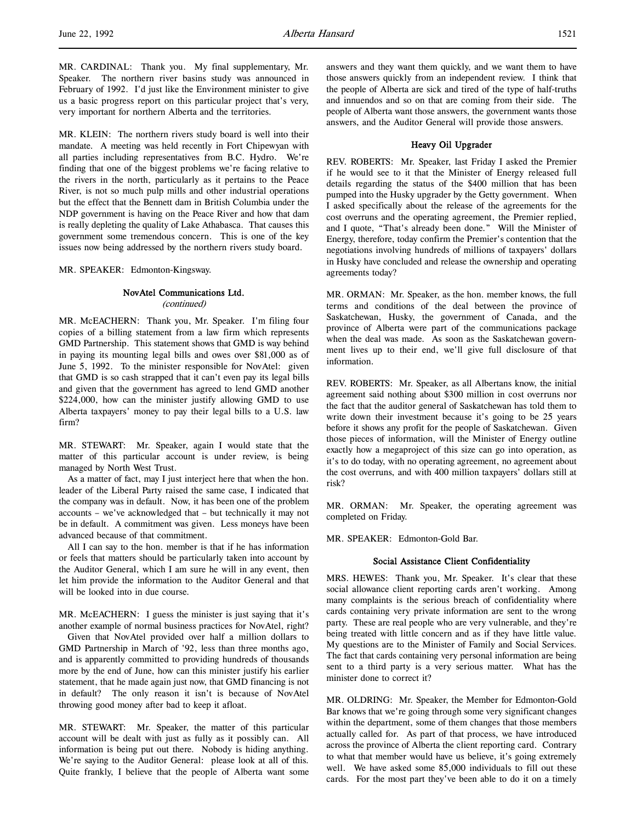MR. KLEIN: The northern rivers study board is well into their mandate. A meeting was held recently in Fort Chipewyan with all parties including representatives from B.C. Hydro. We're finding that one of the biggest problems we're facing relative to the rivers in the north, particularly as it pertains to the Peace River, is not so much pulp mills and other industrial operations but the effect that the Bennett dam in British Columbia under the NDP government is having on the Peace River and how that dam is really depleting the quality of Lake Athabasca. That causes this government some tremendous concern. This is one of the key issues now being addressed by the northern rivers study board.

MR. SPEAKER: Edmonton-Kingsway.

# NovAtel Communications Ltd.

(continued)

MR. McEACHERN: Thank you, Mr. Speaker. I'm filing four copies of a billing statement from a law firm which represents GMD Partnership. This statement shows that GMD is way behind in paying its mounting legal bills and owes over \$81,000 as of June 5, 1992. To the minister responsible for NovAtel: given that GMD is so cash strapped that it can't even pay its legal bills and given that the government has agreed to lend GMD another \$224,000, how can the minister justify allowing GMD to use Alberta taxpayers' money to pay their legal bills to a U.S. law firm?

MR. STEWART: Mr. Speaker, again I would state that the matter of this particular account is under review, is being managed by North West Trust.

As a matter of fact, may I just interject here that when the hon. leader of the Liberal Party raised the same case, I indicated that the company was in default. Now, it has been one of the problem accounts – we've acknowledged that – but technically it may not be in default. A commitment was given. Less moneys have been advanced because of that commitment.

All I can say to the hon. member is that if he has information or feels that matters should be particularly taken into account by the Auditor General, which I am sure he will in any event, then let him provide the information to the Auditor General and that will be looked into in due course.

MR. McEACHERN: I guess the minister is just saying that it's another example of normal business practices for NovAtel, right?

Given that NovAtel provided over half a million dollars to GMD Partnership in March of '92, less than three months ago, and is apparently committed to providing hundreds of thousands more by the end of June, how can this minister justify his earlier statement, that he made again just now, that GMD financing is not in default? The only reason it isn't is because of NovAtel throwing good money after bad to keep it afloat.

MR. STEWART: Mr. Speaker, the matter of this particular account will be dealt with just as fully as it possibly can. All information is being put out there. Nobody is hiding anything. We're saying to the Auditor General: please look at all of this. Quite frankly, I believe that the people of Alberta want some

answers and they want them quickly, and we want them to have those answers quickly from an independent review. I think that the people of Alberta are sick and tired of the type of half-truths and innuendos and so on that are coming from their side. The people of Alberta want those answers, the government wants those answers, and the Auditor General will provide those answers.

# Heavy Oil Upgrader

REV. ROBERTS: Mr. Speaker, last Friday I asked the Premier if he would see to it that the Minister of Energy released full details regarding the status of the \$400 million that has been pumped into the Husky upgrader by the Getty government. When I asked specifically about the release of the agreements for the cost overruns and the operating agreement, the Premier replied, and I quote, "That's already been done." Will the Minister of Energy, therefore, today confirm the Premier's contention that the negotiations involving hundreds of millions of taxpayers' dollars in Husky have concluded and release the ownership and operating agreements today?

MR. ORMAN: Mr. Speaker, as the hon. member knows, the full terms and conditions of the deal between the province of Saskatchewan, Husky, the government of Canada, and the province of Alberta were part of the communications package when the deal was made. As soon as the Saskatchewan government lives up to their end, we'll give full disclosure of that information.

REV. ROBERTS: Mr. Speaker, as all Albertans know, the initial agreement said nothing about \$300 million in cost overruns nor the fact that the auditor general of Saskatchewan has told them to write down their investment because it's going to be 25 years before it shows any profit for the people of Saskatchewan. Given those pieces of information, will the Minister of Energy outline exactly how a megaproject of this size can go into operation, as it's to do today, with no operating agreement, no agreement about the cost overruns, and with 400 million taxpayers' dollars still at risk?

MR. ORMAN: Mr. Speaker, the operating agreement was completed on Friday.

MR. SPEAKER: Edmonton-Gold Bar.

# Social Assistance Client Confidentiality

MRS. HEWES: Thank you, Mr. Speaker. It's clear that these social allowance client reporting cards aren't working. Among many complaints is the serious breach of confidentiality where cards containing very private information are sent to the wrong party. These are real people who are very vulnerable, and they're being treated with little concern and as if they have little value. My questions are to the Minister of Family and Social Services. The fact that cards containing very personal information are being sent to a third party is a very serious matter. What has the minister done to correct it?

MR. OLDRING: Mr. Speaker, the Member for Edmonton-Gold Bar knows that we're going through some very significant changes within the department, some of them changes that those members actually called for. As part of that process, we have introduced across the province of Alberta the client reporting card. Contrary to what that member would have us believe, it's going extremely well. We have asked some 85,000 individuals to fill out these cards. For the most part they've been able to do it on a timely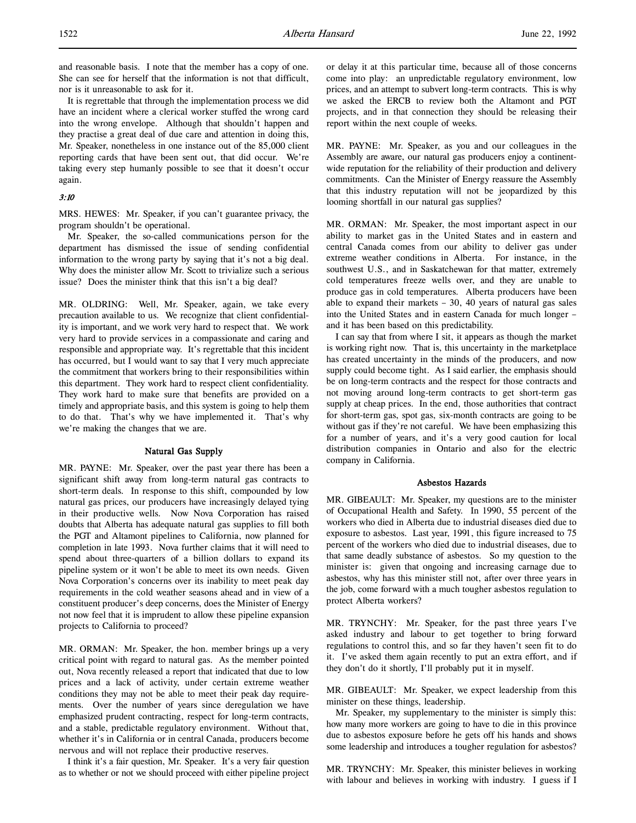and reasonable basis. I note that the member has a copy of one. She can see for herself that the information is not that difficult, nor is it unreasonable to ask for it.

It is regrettable that through the implementation process we did have an incident where a clerical worker stuffed the wrong card into the wrong envelope. Although that shouldn't happen and they practise a great deal of due care and attention in doing this, Mr. Speaker, nonetheless in one instance out of the 85,000 client reporting cards that have been sent out, that did occur. We're taking every step humanly possible to see that it doesn't occur again.

### 3:10

MRS. HEWES: Mr. Speaker, if you can't guarantee privacy, the program shouldn't be operational.

Mr. Speaker, the so-called communications person for the department has dismissed the issue of sending confidential information to the wrong party by saying that it's not a big deal. Why does the minister allow Mr. Scott to trivialize such a serious issue? Does the minister think that this isn't a big deal?

MR. OLDRING: Well, Mr. Speaker, again, we take every precaution available to us. We recognize that client confidentiality is important, and we work very hard to respect that. We work very hard to provide services in a compassionate and caring and responsible and appropriate way. It's regrettable that this incident has occurred, but I would want to say that I very much appreciate the commitment that workers bring to their responsibilities within this department. They work hard to respect client confidentiality. They work hard to make sure that benefits are provided on a timely and appropriate basis, and this system is going to help them to do that. That's why we have implemented it. That's why we're making the changes that we are.

# Natural Gas Supply

MR. PAYNE: Mr. Speaker, over the past year there has been a significant shift away from long-term natural gas contracts to short-term deals. In response to this shift, compounded by low natural gas prices, our producers have increasingly delayed tying in their productive wells. Now Nova Corporation has raised doubts that Alberta has adequate natural gas supplies to fill both the PGT and Altamont pipelines to California, now planned for completion in late 1993. Nova further claims that it will need to spend about three-quarters of a billion dollars to expand its pipeline system or it won't be able to meet its own needs. Given Nova Corporation's concerns over its inability to meet peak day requirements in the cold weather seasons ahead and in view of a constituent producer's deep concerns, does the Minister of Energy not now feel that it is imprudent to allow these pipeline expansion projects to California to proceed?

MR. ORMAN: Mr. Speaker, the hon. member brings up a very critical point with regard to natural gas. As the member pointed out, Nova recently released a report that indicated that due to low prices and a lack of activity, under certain extreme weather conditions they may not be able to meet their peak day requirements. Over the number of years since deregulation we have emphasized prudent contracting, respect for long-term contracts, and a stable, predictable regulatory environment. Without that, whether it's in California or in central Canada, producers become nervous and will not replace their productive reserves.

I think it's a fair question, Mr. Speaker. It's a very fair question as to whether or not we should proceed with either pipeline project or delay it at this particular time, because all of those concerns come into play: an unpredictable regulatory environment, low prices, and an attempt to subvert long-term contracts. This is why we asked the ERCB to review both the Altamont and PGT projects, and in that connection they should be releasing their report within the next couple of weeks.

MR. PAYNE: Mr. Speaker, as you and our colleagues in the Assembly are aware, our natural gas producers enjoy a continentwide reputation for the reliability of their production and delivery commitments. Can the Minister of Energy reassure the Assembly that this industry reputation will not be jeopardized by this looming shortfall in our natural gas supplies?

MR. ORMAN: Mr. Speaker, the most important aspect in our ability to market gas in the United States and in eastern and central Canada comes from our ability to deliver gas under extreme weather conditions in Alberta. For instance, in the southwest U.S., and in Saskatchewan for that matter, extremely cold temperatures freeze wells over, and they are unable to produce gas in cold temperatures. Alberta producers have been able to expand their markets – 30, 40 years of natural gas sales into the United States and in eastern Canada for much longer – and it has been based on this predictability.

I can say that from where I sit, it appears as though the market is working right now. That is, this uncertainty in the marketplace has created uncertainty in the minds of the producers, and now supply could become tight. As I said earlier, the emphasis should be on long-term contracts and the respect for those contracts and not moving around long-term contracts to get short-term gas supply at cheap prices. In the end, those authorities that contract for short-term gas, spot gas, six-month contracts are going to be without gas if they're not careful. We have been emphasizing this for a number of years, and it's a very good caution for local distribution companies in Ontario and also for the electric company in California.

#### Asbestos Hazards

MR. GIBEAULT: Mr. Speaker, my questions are to the minister of Occupational Health and Safety. In 1990, 55 percent of the workers who died in Alberta due to industrial diseases died due to exposure to asbestos. Last year, 1991, this figure increased to 75 percent of the workers who died due to industrial diseases, due to that same deadly substance of asbestos. So my question to the minister is: given that ongoing and increasing carnage due to asbestos, why has this minister still not, after over three years in the job, come forward with a much tougher asbestos regulation to protect Alberta workers?

MR. TRYNCHY: Mr. Speaker, for the past three years I've asked industry and labour to get together to bring forward regulations to control this, and so far they haven't seen fit to do it. I've asked them again recently to put an extra effort, and if they don't do it shortly, I'll probably put it in myself.

MR. GIBEAULT: Mr. Speaker, we expect leadership from this minister on these things, leadership.

Mr. Speaker, my supplementary to the minister is simply this: how many more workers are going to have to die in this province due to asbestos exposure before he gets off his hands and shows some leadership and introduces a tougher regulation for asbestos?

MR. TRYNCHY: Mr. Speaker, this minister believes in working with labour and believes in working with industry. I guess if I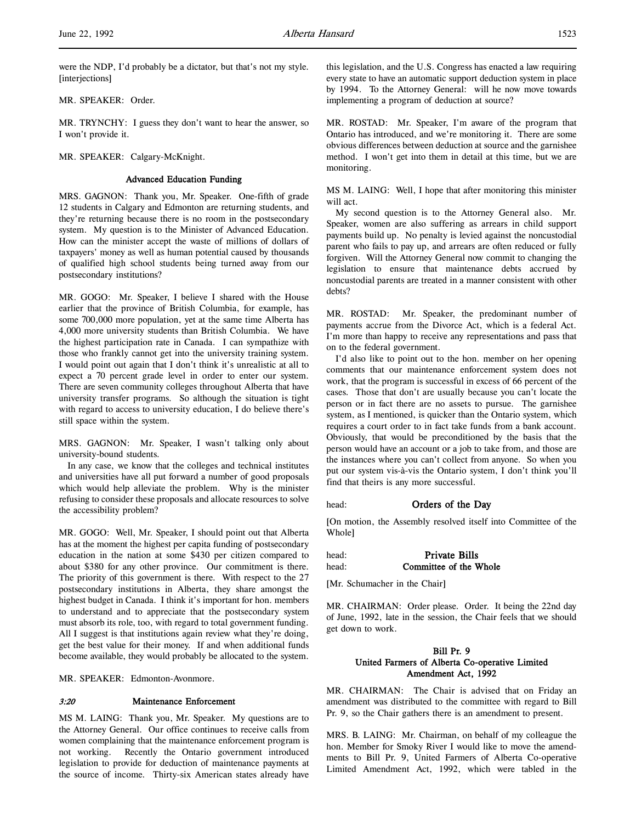were the NDP, I'd probably be a dictator, but that's not my style. [interjections]

MR. SPEAKER: Order.

MR. TRYNCHY: I guess they don't want to hear the answer, so I won't provide it.

MR. SPEAKER: Calgary-McKnight.

### Advanced Education Funding

MRS. GAGNON: Thank you, Mr. Speaker. One-fifth of grade 12 students in Calgary and Edmonton are returning students, and they're returning because there is no room in the postsecondary system. My question is to the Minister of Advanced Education. How can the minister accept the waste of millions of dollars of taxpayers' money as well as human potential caused by thousands of qualified high school students being turned away from our postsecondary institutions?

MR. GOGO: Mr. Speaker, I believe I shared with the House earlier that the province of British Columbia, for example, has some 700,000 more population, yet at the same time Alberta has 4,000 more university students than British Columbia. We have the highest participation rate in Canada. I can sympathize with those who frankly cannot get into the university training system. I would point out again that I don't think it's unrealistic at all to expect a 70 percent grade level in order to enter our system. There are seven community colleges throughout Alberta that have university transfer programs. So although the situation is tight with regard to access to university education, I do believe there's still space within the system.

MRS. GAGNON: Mr. Speaker, I wasn't talking only about university-bound students.

In any case, we know that the colleges and technical institutes and universities have all put forward a number of good proposals which would help alleviate the problem. Why is the minister refusing to consider these proposals and allocate resources to solve the accessibility problem?

MR. GOGO: Well, Mr. Speaker, I should point out that Alberta has at the moment the highest per capita funding of postsecondary education in the nation at some \$430 per citizen compared to about \$380 for any other province. Our commitment is there. The priority of this government is there. With respect to the 27 postsecondary institutions in Alberta, they share amongst the highest budget in Canada. I think it's important for hon. members to understand and to appreciate that the postsecondary system must absorb its role, too, with regard to total government funding. All I suggest is that institutions again review what they're doing, get the best value for their money. If and when additional funds become available, they would probably be allocated to the system.

MR. SPEAKER: Edmonton-Avonmore.

### 3:20 Maintenance Enforcement

MS M. LAING: Thank you, Mr. Speaker. My questions are to the Attorney General. Our office continues to receive calls from women complaining that the maintenance enforcement program is not working. Recently the Ontario government introduced legislation to provide for deduction of maintenance payments at the source of income. Thirty-six American states already have

this legislation, and the U.S. Congress has enacted a law requiring every state to have an automatic support deduction system in place by 1994. To the Attorney General: will he now move towards implementing a program of deduction at source?

MR. ROSTAD: Mr. Speaker, I'm aware of the program that Ontario has introduced, and we're monitoring it. There are some obvious differences between deduction at source and the garnishee method. I won't get into them in detail at this time, but we are monitoring.

MS M. LAING: Well, I hope that after monitoring this minister will act.

My second question is to the Attorney General also. Mr. Speaker, women are also suffering as arrears in child support payments build up. No penalty is levied against the noncustodial parent who fails to pay up, and arrears are often reduced or fully forgiven. Will the Attorney General now commit to changing the legislation to ensure that maintenance debts accrued by noncustodial parents are treated in a manner consistent with other debts?

MR. ROSTAD: Mr. Speaker, the predominant number of payments accrue from the Divorce Act, which is a federal Act. I'm more than happy to receive any representations and pass that on to the federal government.

I'd also like to point out to the hon. member on her opening comments that our maintenance enforcement system does not work, that the program is successful in excess of 66 percent of the cases. Those that don't are usually because you can't locate the person or in fact there are no assets to pursue. The garnishee system, as I mentioned, is quicker than the Ontario system, which requires a court order to in fact take funds from a bank account. Obviously, that would be preconditioned by the basis that the person would have an account or a job to take from, and those are the instances where you can't collect from anyone. So when you put our system vis-à-vis the Ontario system, I don't think you'll find that theirs is any more successful.

#### head: **Orders of the Day**

[On motion, the Assembly resolved itself into Committee of the Whole]

head: Private Bills head: **Committee of the Whole** 

[Mr. Schumacher in the Chair]

MR. CHAIRMAN: Order please. Order. It being the 22nd day of June, 1992, late in the session, the Chair feels that we should get down to work.

# Bill Pr. 9 United Farmers of Alberta Co-operative Limited Amendment Act, 1992

MR. CHAIRMAN: The Chair is advised that on Friday an amendment was distributed to the committee with regard to Bill Pr. 9, so the Chair gathers there is an amendment to present.

MRS. B. LAING: Mr. Chairman, on behalf of my colleague the hon. Member for Smoky River I would like to move the amendments to Bill Pr. 9, United Farmers of Alberta Co-operative Limited Amendment Act, 1992, which were tabled in the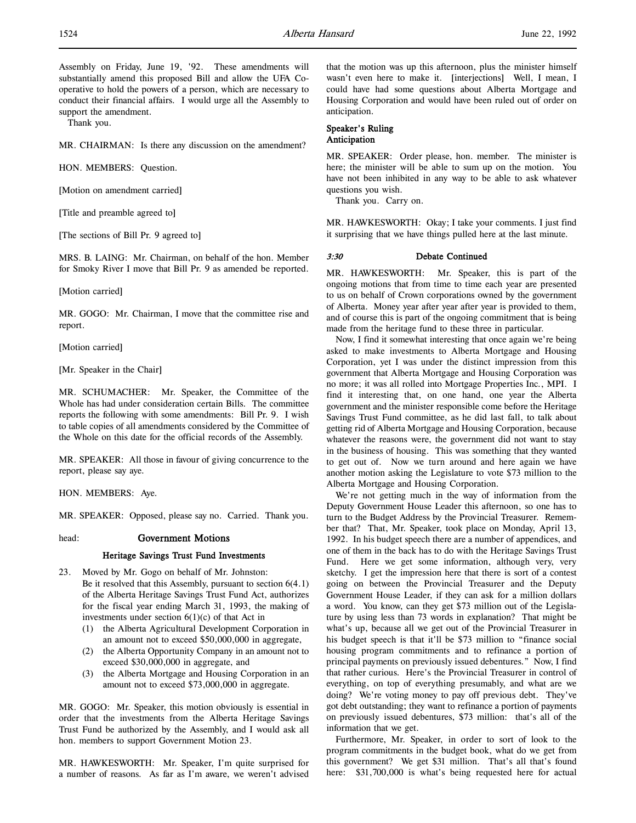Assembly on Friday, June 19, '92. These amendments will substantially amend this proposed Bill and allow the UFA Cooperative to hold the powers of a person, which are necessary to conduct their financial affairs. I would urge all the Assembly to support the amendment.

Thank you.

MR. CHAIRMAN: Is there any discussion on the amendment?

HON. MEMBERS: Question.

[Motion on amendment carried]

[Title and preamble agreed to]

[The sections of Bill Pr. 9 agreed to]

MRS. B. LAING: Mr. Chairman, on behalf of the hon. Member for Smoky River I move that Bill Pr. 9 as amended be reported.

[Motion carried]

MR. GOGO: Mr. Chairman, I move that the committee rise and report.

[Motion carried]

[Mr. Speaker in the Chair]

MR. SCHUMACHER: Mr. Speaker, the Committee of the Whole has had under consideration certain Bills. The committee reports the following with some amendments: Bill Pr. 9. I wish to table copies of all amendments considered by the Committee of the Whole on this date for the official records of the Assembly.

MR. SPEAKER: All those in favour of giving concurrence to the report, please say aye.

HON. MEMBERS: Aye.

MR. SPEAKER: Opposed, please say no. Carried. Thank you.

### head: Government Motions

### Heritage Savings Trust Fund Investments

- 23. Moved by Mr. Gogo on behalf of Mr. Johnston: Be it resolved that this Assembly, pursuant to section 6(4.1) of the Alberta Heritage Savings Trust Fund Act, authorizes for the fiscal year ending March 31, 1993, the making of investments under section  $6(1)(c)$  of that Act in
	- (1) the Alberta Agricultural Development Corporation in an amount not to exceed \$50,000,000 in aggregate,
	- (2) the Alberta Opportunity Company in an amount not to exceed \$30,000,000 in aggregate, and
	- (3) the Alberta Mortgage and Housing Corporation in an amount not to exceed \$73,000,000 in aggregate.

MR. GOGO: Mr. Speaker, this motion obviously is essential in order that the investments from the Alberta Heritage Savings Trust Fund be authorized by the Assembly, and I would ask all hon. members to support Government Motion 23.

MR. HAWKESWORTH: Mr. Speaker, I'm quite surprised for a number of reasons. As far as I'm aware, we weren't advised

that the motion was up this afternoon, plus the minister himself wasn't even here to make it. [interjections] Well, I mean, I could have had some questions about Alberta Mortgage and Housing Corporation and would have been ruled out of order on anticipation.

### Speaker's Ruling Anticipation

MR. SPEAKER: Order please, hon. member. The minister is here; the minister will be able to sum up on the motion. You have not been inhibited in any way to be able to ask whatever questions you wish.

Thank you. Carry on.

MR. HAWKESWORTH: Okay; I take your comments. I just find it surprising that we have things pulled here at the last minute.

### 3:30 Debate Continued

MR. HAWKESWORTH: Mr. Speaker, this is part of the ongoing motions that from time to time each year are presented to us on behalf of Crown corporations owned by the government of Alberta. Money year after year after year is provided to them, and of course this is part of the ongoing commitment that is being made from the heritage fund to these three in particular.

Now, I find it somewhat interesting that once again we're being asked to make investments to Alberta Mortgage and Housing Corporation, yet I was under the distinct impression from this government that Alberta Mortgage and Housing Corporation was no more; it was all rolled into Mortgage Properties Inc., MPI. I find it interesting that, on one hand, one year the Alberta government and the minister responsible come before the Heritage Savings Trust Fund committee, as he did last fall, to talk about getting rid of Alberta Mortgage and Housing Corporation, because whatever the reasons were, the government did not want to stay in the business of housing. This was something that they wanted to get out of. Now we turn around and here again we have another motion asking the Legislature to vote \$73 million to the Alberta Mortgage and Housing Corporation.

We're not getting much in the way of information from the Deputy Government House Leader this afternoon, so one has to turn to the Budget Address by the Provincial Treasurer. Remember that? That, Mr. Speaker, took place on Monday, April 13, 1992. In his budget speech there are a number of appendices, and one of them in the back has to do with the Heritage Savings Trust Fund. Here we get some information, although very, very sketchy. I get the impression here that there is sort of a contest going on between the Provincial Treasurer and the Deputy Government House Leader, if they can ask for a million dollars a word. You know, can they get \$73 million out of the Legislature by using less than 73 words in explanation? That might be what's up, because all we get out of the Provincial Treasurer in his budget speech is that it'll be \$73 million to "finance social housing program commitments and to refinance a portion of principal payments on previously issued debentures." Now, I find that rather curious. Here's the Provincial Treasurer in control of everything, on top of everything presumably, and what are we doing? We're voting money to pay off previous debt. They've got debt outstanding; they want to refinance a portion of payments on previously issued debentures, \$73 million: that's all of the information that we get.

Furthermore, Mr. Speaker, in order to sort of look to the program commitments in the budget book, what do we get from this government? We get \$31 million. That's all that's found here:  $$31,700,000$  is what's being requested here for actual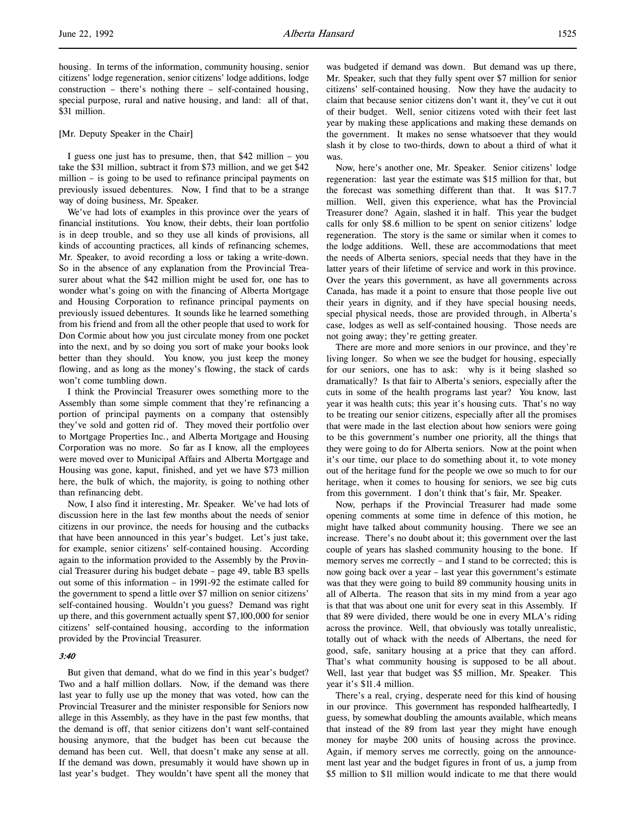housing. In terms of the information, community housing, senior citizens' lodge regeneration, senior citizens' lodge additions, lodge construction – there's nothing there – self-contained housing, special purpose, rural and native housing, and land: all of that, \$31 million.

#### [Mr. Deputy Speaker in the Chair]

I guess one just has to presume, then, that \$42 million – you take the \$31 million, subtract it from \$73 million, and we get \$42 million – is going to be used to refinance principal payments on previously issued debentures. Now, I find that to be a strange way of doing business, Mr. Speaker.

We've had lots of examples in this province over the years of financial institutions. You know, their debts, their loan portfolio is in deep trouble, and so they use all kinds of provisions, all kinds of accounting practices, all kinds of refinancing schemes, Mr. Speaker, to avoid recording a loss or taking a write-down. So in the absence of any explanation from the Provincial Treasurer about what the \$42 million might be used for, one has to wonder what's going on with the financing of Alberta Mortgage and Housing Corporation to refinance principal payments on previously issued debentures. It sounds like he learned something from his friend and from all the other people that used to work for Don Cormie about how you just circulate money from one pocket into the next, and by so doing you sort of make your books look better than they should. You know, you just keep the money flowing, and as long as the money's flowing, the stack of cards won't come tumbling down.

I think the Provincial Treasurer owes something more to the Assembly than some simple comment that they're refinancing a portion of principal payments on a company that ostensibly they've sold and gotten rid of. They moved their portfolio over to Mortgage Properties Inc., and Alberta Mortgage and Housing Corporation was no more. So far as I know, all the employees were moved over to Municipal Affairs and Alberta Mortgage and Housing was gone, kaput, finished, and yet we have \$73 million here, the bulk of which, the majority, is going to nothing other than refinancing debt.

Now, I also find it interesting, Mr. Speaker. We've had lots of discussion here in the last few months about the needs of senior citizens in our province, the needs for housing and the cutbacks that have been announced in this year's budget. Let's just take, for example, senior citizens' self-contained housing. According again to the information provided to the Assembly by the Provincial Treasurer during his budget debate – page 49, table B3 spells out some of this information – in 1991-92 the estimate called for the government to spend a little over \$7 million on senior citizens' self-contained housing. Wouldn't you guess? Demand was right up there, and this government actually spent \$7,100,000 for senior citizens' self-contained housing, according to the information provided by the Provincial Treasurer.

### 3:40

But given that demand, what do we find in this year's budget? Two and a half million dollars. Now, if the demand was there last year to fully use up the money that was voted, how can the Provincial Treasurer and the minister responsible for Seniors now allege in this Assembly, as they have in the past few months, that the demand is off, that senior citizens don't want self-contained housing anymore, that the budget has been cut because the demand has been cut. Well, that doesn't make any sense at all. If the demand was down, presumably it would have shown up in last year's budget. They wouldn't have spent all the money that

was budgeted if demand was down. But demand was up there, Mr. Speaker, such that they fully spent over \$7 million for senior citizens' self-contained housing. Now they have the audacity to claim that because senior citizens don't want it, they've cut it out of their budget. Well, senior citizens voted with their feet last year by making these applications and making these demands on the government. It makes no sense whatsoever that they would slash it by close to two-thirds, down to about a third of what it was.

Now, here's another one, Mr. Speaker. Senior citizens' lodge regeneration: last year the estimate was \$15 million for that, but the forecast was something different than that. It was \$17.7 million. Well, given this experience, what has the Provincial Treasurer done? Again, slashed it in half. This year the budget calls for only \$8.6 million to be spent on senior citizens' lodge regeneration. The story is the same or similar when it comes to the lodge additions. Well, these are accommodations that meet the needs of Alberta seniors, special needs that they have in the latter years of their lifetime of service and work in this province. Over the years this government, as have all governments across Canada, has made it a point to ensure that those people live out their years in dignity, and if they have special housing needs, special physical needs, those are provided through, in Alberta's case, lodges as well as self-contained housing. Those needs are not going away; they're getting greater.

There are more and more seniors in our province, and they're living longer. So when we see the budget for housing, especially for our seniors, one has to ask: why is it being slashed so dramatically? Is that fair to Alberta's seniors, especially after the cuts in some of the health programs last year? You know, last year it was health cuts; this year it's housing cuts. That's no way to be treating our senior citizens, especially after all the promises that were made in the last election about how seniors were going to be this government's number one priority, all the things that they were going to do for Alberta seniors. Now at the point when it's our time, our place to do something about it, to vote money out of the heritage fund for the people we owe so much to for our heritage, when it comes to housing for seniors, we see big cuts from this government. I don't think that's fair, Mr. Speaker.

Now, perhaps if the Provincial Treasurer had made some opening comments at some time in defence of this motion, he might have talked about community housing. There we see an increase. There's no doubt about it; this government over the last couple of years has slashed community housing to the bone. If memory serves me correctly – and I stand to be corrected; this is now going back over a year – last year this government's estimate was that they were going to build 89 community housing units in all of Alberta. The reason that sits in my mind from a year ago is that that was about one unit for every seat in this Assembly. If that 89 were divided, there would be one in every MLA's riding across the province. Well, that obviously was totally unrealistic, totally out of whack with the needs of Albertans, the need for good, safe, sanitary housing at a price that they can afford. That's what community housing is supposed to be all about. Well, last year that budget was \$5 million, Mr. Speaker. This year it's \$11.4 million.

There's a real, crying, desperate need for this kind of housing in our province. This government has responded halfheartedly, I guess, by somewhat doubling the amounts available, which means that instead of the 89 from last year they might have enough money for maybe 200 units of housing across the province. Again, if memory serves me correctly, going on the announcement last year and the budget figures in front of us, a jump from \$5 million to \$11 million would indicate to me that there would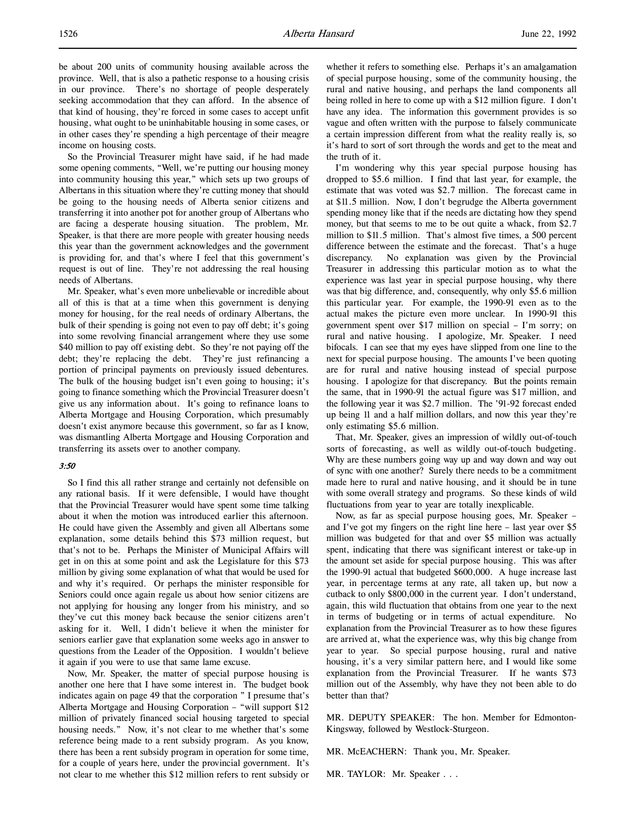So the Provincial Treasurer might have said, if he had made some opening comments, "Well, we're putting our housing money into community housing this year," which sets up two groups of Albertans in this situation where they're cutting money that should be going to the housing needs of Alberta senior citizens and transferring it into another pot for another group of Albertans who are facing a desperate housing situation. The problem, Mr. Speaker, is that there are more people with greater housing needs this year than the government acknowledges and the government is providing for, and that's where I feel that this government's request is out of line. They're not addressing the real housing needs of Albertans.

Mr. Speaker, what's even more unbelievable or incredible about all of this is that at a time when this government is denying money for housing, for the real needs of ordinary Albertans, the bulk of their spending is going not even to pay off debt; it's going into some revolving financial arrangement where they use some \$40 million to pay off existing debt. So they're not paying off the debt; they're replacing the debt. They're just refinancing a portion of principal payments on previously issued debentures. The bulk of the housing budget isn't even going to housing; it's going to finance something which the Provincial Treasurer doesn't give us any information about. It's going to refinance loans to Alberta Mortgage and Housing Corporation, which presumably doesn't exist anymore because this government, so far as I know, was dismantling Alberta Mortgage and Housing Corporation and transferring its assets over to another company.

#### 3:50

So I find this all rather strange and certainly not defensible on any rational basis. If it were defensible, I would have thought that the Provincial Treasurer would have spent some time talking about it when the motion was introduced earlier this afternoon. He could have given the Assembly and given all Albertans some explanation, some details behind this \$73 million request, but that's not to be. Perhaps the Minister of Municipal Affairs will get in on this at some point and ask the Legislature for this \$73 million by giving some explanation of what that would be used for and why it's required. Or perhaps the minister responsible for Seniors could once again regale us about how senior citizens are not applying for housing any longer from his ministry, and so they've cut this money back because the senior citizens aren't asking for it. Well, I didn't believe it when the minister for seniors earlier gave that explanation some weeks ago in answer to questions from the Leader of the Opposition. I wouldn't believe it again if you were to use that same lame excuse.

Now, Mr. Speaker, the matter of special purpose housing is another one here that I have some interest in. The budget book indicates again on page 49 that the corporation " I presume that's Alberta Mortgage and Housing Corporation – "will support \$12 million of privately financed social housing targeted to special housing needs." Now, it's not clear to me whether that's some reference being made to a rent subsidy program. As you know, there has been a rent subsidy program in operation for some time, for a couple of years here, under the provincial government. It's not clear to me whether this \$12 million refers to rent subsidy or whether it refers to something else. Perhaps it's an amalgamation of special purpose housing, some of the community housing, the rural and native housing, and perhaps the land components all being rolled in here to come up with a \$12 million figure. I don't have any idea. The information this government provides is so vague and often written with the purpose to falsely communicate a certain impression different from what the reality really is, so it's hard to sort of sort through the words and get to the meat and the truth of it.

I'm wondering why this year special purpose housing has dropped to \$5.6 million. I find that last year, for example, the estimate that was voted was \$2.7 million. The forecast came in at \$11.5 million. Now, I don't begrudge the Alberta government spending money like that if the needs are dictating how they spend money, but that seems to me to be out quite a whack, from \$2.7 million to \$11.5 million. That's almost five times, a 500 percent difference between the estimate and the forecast. That's a huge discrepancy. No explanation was given by the Provincial Treasurer in addressing this particular motion as to what the experience was last year in special purpose housing, why there was that big difference, and, consequently, why only \$5.6 million this particular year. For example, the 1990-91 even as to the actual makes the picture even more unclear. In 1990-91 this government spent over \$17 million on special – I'm sorry; on rural and native housing. I apologize, Mr. Speaker. I need bifocals. I can see that my eyes have slipped from one line to the next for special purpose housing. The amounts I've been quoting are for rural and native housing instead of special purpose housing. I apologize for that discrepancy. But the points remain the same, that in 1990-91 the actual figure was \$17 million, and the following year it was \$2.7 million. The '91-92 forecast ended up being 11 and a half million dollars, and now this year they're only estimating \$5.6 million.

That, Mr. Speaker, gives an impression of wildly out-of-touch sorts of forecasting, as well as wildly out-of-touch budgeting. Why are these numbers going way up and way down and way out of sync with one another? Surely there needs to be a commitment made here to rural and native housing, and it should be in tune with some overall strategy and programs. So these kinds of wild fluctuations from year to year are totally inexplicable.

Now, as far as special purpose housing goes, Mr. Speaker – and I've got my fingers on the right line here – last year over \$5 million was budgeted for that and over \$5 million was actually spent, indicating that there was significant interest or take-up in the amount set aside for special purpose housing. This was after the 1990-91 actual that budgeted \$600,000. A huge increase last year, in percentage terms at any rate, all taken up, but now a cutback to only \$800,000 in the current year. I don't understand, again, this wild fluctuation that obtains from one year to the next in terms of budgeting or in terms of actual expenditure. No explanation from the Provincial Treasurer as to how these figures are arrived at, what the experience was, why this big change from year to year. So special purpose housing, rural and native housing, it's a very similar pattern here, and I would like some explanation from the Provincial Treasurer. If he wants \$73 million out of the Assembly, why have they not been able to do better than that?

MR. DEPUTY SPEAKER: The hon. Member for Edmonton-Kingsway, followed by Westlock-Sturgeon.

MR. McEACHERN: Thank you, Mr. Speaker.

MR. TAYLOR: Mr. Speaker . . .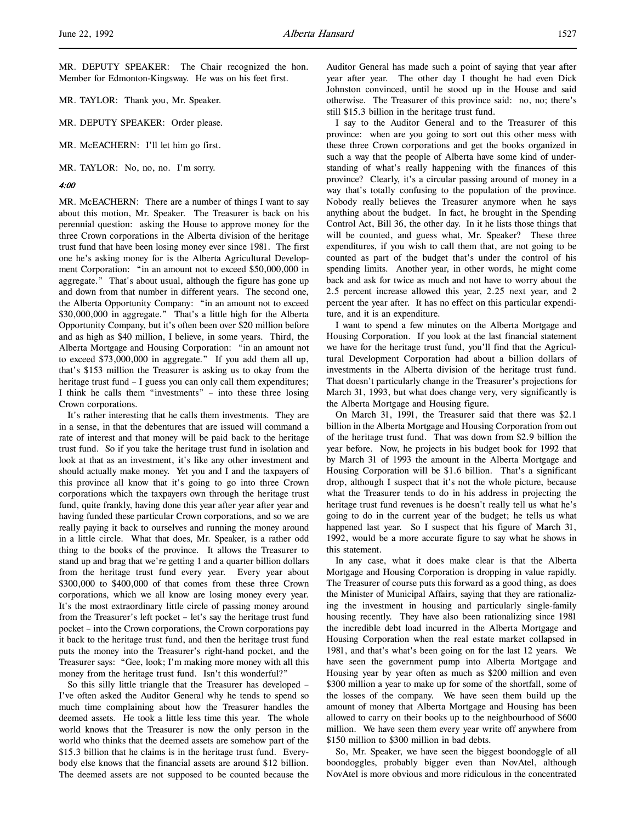MR. TAYLOR: Thank you, Mr. Speaker.

MR. DEPUTY SPEAKER: Order please.

MR. McEACHERN: I'll let him go first.

MR. TAYLOR: No, no, no. I'm sorry.

#### 4:00

MR. McEACHERN: There are a number of things I want to say about this motion, Mr. Speaker. The Treasurer is back on his perennial question: asking the House to approve money for the three Crown corporations in the Alberta division of the heritage trust fund that have been losing money ever since 1981. The first one he's asking money for is the Alberta Agricultural Development Corporation: "in an amount not to exceed \$50,000,000 in aggregate." That's about usual, although the figure has gone up and down from that number in different years. The second one, the Alberta Opportunity Company: "in an amount not to exceed \$30,000,000 in aggregate." That's a little high for the Alberta Opportunity Company, but it's often been over \$20 million before and as high as \$40 million, I believe, in some years. Third, the Alberta Mortgage and Housing Corporation: "in an amount not to exceed \$73,000,000 in aggregate." If you add them all up, that's \$153 million the Treasurer is asking us to okay from the heritage trust fund - I guess you can only call them expenditures; I think he calls them "investments" – into these three losing Crown corporations.

It's rather interesting that he calls them investments. They are in a sense, in that the debentures that are issued will command a rate of interest and that money will be paid back to the heritage trust fund. So if you take the heritage trust fund in isolation and look at that as an investment, it's like any other investment and should actually make money. Yet you and I and the taxpayers of this province all know that it's going to go into three Crown corporations which the taxpayers own through the heritage trust fund, quite frankly, having done this year after year after year and having funded these particular Crown corporations, and so we are really paying it back to ourselves and running the money around in a little circle. What that does, Mr. Speaker, is a rather odd thing to the books of the province. It allows the Treasurer to stand up and brag that we're getting 1 and a quarter billion dollars from the heritage trust fund every year. Every year about \$300,000 to \$400,000 of that comes from these three Crown corporations, which we all know are losing money every year. It's the most extraordinary little circle of passing money around from the Treasurer's left pocket – let's say the heritage trust fund pocket – into the Crown corporations, the Crown corporations pay it back to the heritage trust fund, and then the heritage trust fund puts the money into the Treasurer's right-hand pocket, and the Treasurer says: "Gee, look; I'm making more money with all this money from the heritage trust fund. Isn't this wonderful?"

So this silly little triangle that the Treasurer has developed – I've often asked the Auditor General why he tends to spend so much time complaining about how the Treasurer handles the deemed assets. He took a little less time this year. The whole world knows that the Treasurer is now the only person in the world who thinks that the deemed assets are somehow part of the \$15.3 billion that he claims is in the heritage trust fund. Everybody else knows that the financial assets are around \$12 billion. The deemed assets are not supposed to be counted because the

Auditor General has made such a point of saying that year after year after year. The other day I thought he had even Dick Johnston convinced, until he stood up in the House and said otherwise. The Treasurer of this province said: no, no; there's still \$15.3 billion in the heritage trust fund.

I say to the Auditor General and to the Treasurer of this province: when are you going to sort out this other mess with these three Crown corporations and get the books organized in such a way that the people of Alberta have some kind of understanding of what's really happening with the finances of this province? Clearly, it's a circular passing around of money in a way that's totally confusing to the population of the province. Nobody really believes the Treasurer anymore when he says anything about the budget. In fact, he brought in the Spending Control Act, Bill 36, the other day. In it he lists those things that will be counted, and guess what, Mr. Speaker? These three expenditures, if you wish to call them that, are not going to be counted as part of the budget that's under the control of his spending limits. Another year, in other words, he might come back and ask for twice as much and not have to worry about the 2.5 percent increase allowed this year, 2.25 next year, and 2 percent the year after. It has no effect on this particular expenditure, and it is an expenditure.

I want to spend a few minutes on the Alberta Mortgage and Housing Corporation. If you look at the last financial statement we have for the heritage trust fund, you'll find that the Agricultural Development Corporation had about a billion dollars of investments in the Alberta division of the heritage trust fund. That doesn't particularly change in the Treasurer's projections for March 31, 1993, but what does change very, very significantly is the Alberta Mortgage and Housing figure.

On March 31, 1991, the Treasurer said that there was \$2.1 billion in the Alberta Mortgage and Housing Corporation from out of the heritage trust fund. That was down from \$2.9 billion the year before. Now, he projects in his budget book for 1992 that by March 31 of 1993 the amount in the Alberta Mortgage and Housing Corporation will be \$1.6 billion. That's a significant drop, although I suspect that it's not the whole picture, because what the Treasurer tends to do in his address in projecting the heritage trust fund revenues is he doesn't really tell us what he's going to do in the current year of the budget; he tells us what happened last year. So I suspect that his figure of March 31, 1992, would be a more accurate figure to say what he shows in this statement.

In any case, what it does make clear is that the Alberta Mortgage and Housing Corporation is dropping in value rapidly. The Treasurer of course puts this forward as a good thing, as does the Minister of Municipal Affairs, saying that they are rationalizing the investment in housing and particularly single-family housing recently. They have also been rationalizing since 1981 the incredible debt load incurred in the Alberta Mortgage and Housing Corporation when the real estate market collapsed in 1981, and that's what's been going on for the last 12 years. We have seen the government pump into Alberta Mortgage and Housing year by year often as much as \$200 million and even \$300 million a year to make up for some of the shortfall, some of the losses of the company. We have seen them build up the amount of money that Alberta Mortgage and Housing has been allowed to carry on their books up to the neighbourhood of \$600 million. We have seen them every year write off anywhere from \$150 million to \$300 million in bad debts.

So, Mr. Speaker, we have seen the biggest boondoggle of all boondoggles, probably bigger even than NovAtel, although NovAtel is more obvious and more ridiculous in the concentrated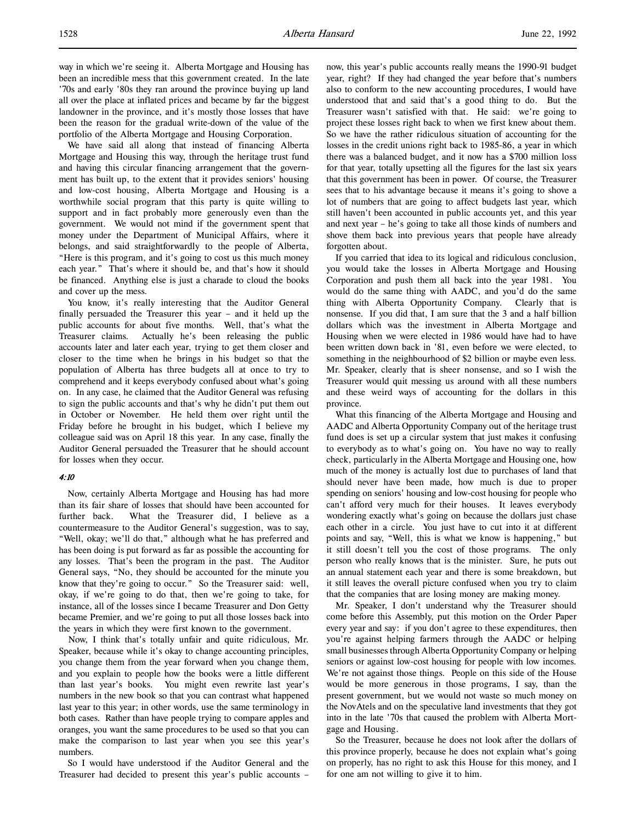way in which we're seeing it. Alberta Mortgage and Housing has been an incredible mess that this government created. In the late '70s and early '80s they ran around the province buying up land all over the place at inflated prices and became by far the biggest landowner in the province, and it's mostly those losses that have been the reason for the gradual write-down of the value of the portfolio of the Alberta Mortgage and Housing Corporation.

We have said all along that instead of financing Alberta Mortgage and Housing this way, through the heritage trust fund and having this circular financing arrangement that the government has built up, to the extent that it provides seniors' housing and low-cost housing, Alberta Mortgage and Housing is a worthwhile social program that this party is quite willing to support and in fact probably more generously even than the government. We would not mind if the government spent that money under the Department of Municipal Affairs, where it belongs, and said straightforwardly to the people of Alberta, "Here is this program, and it's going to cost us this much money each year." That's where it should be, and that's how it should be financed. Anything else is just a charade to cloud the books and cover up the mess.

You know, it's really interesting that the Auditor General finally persuaded the Treasurer this year – and it held up the public accounts for about five months. Well, that's what the Treasurer claims. Actually he's been releasing the public accounts later and later each year, trying to get them closer and closer to the time when he brings in his budget so that the population of Alberta has three budgets all at once to try to comprehend and it keeps everybody confused about what's going on. In any case, he claimed that the Auditor General was refusing to sign the public accounts and that's why he didn't put them out in October or November. He held them over right until the Friday before he brought in his budget, which I believe my colleague said was on April 18 this year. In any case, finally the Auditor General persuaded the Treasurer that he should account for losses when they occur.

#### 4:10

Now, certainly Alberta Mortgage and Housing has had more than its fair share of losses that should have been accounted for further back. What the Treasurer did, I believe as a countermeasure to the Auditor General's suggestion, was to say, "Well, okay; we'll do that," although what he has preferred and has been doing is put forward as far as possible the accounting for any losses. That's been the program in the past. The Auditor General says, "No, they should be accounted for the minute you know that they're going to occur." So the Treasurer said: well, okay, if we're going to do that, then we're going to take, for instance, all of the losses since I became Treasurer and Don Getty became Premier, and we're going to put all those losses back into the years in which they were first known to the government.

 Now, I think that's totally unfair and quite ridiculous, Mr. Speaker, because while it's okay to change accounting principles, you change them from the year forward when you change them, and you explain to people how the books were a little different than last year's books. You might even rewrite last year's numbers in the new book so that you can contrast what happened last year to this year; in other words, use the same terminology in both cases. Rather than have people trying to compare apples and oranges, you want the same procedures to be used so that you can make the comparison to last year when you see this year's numbers.

So I would have understood if the Auditor General and the Treasurer had decided to present this year's public accounts –

now, this year's public accounts really means the 1990-91 budget year, right? If they had changed the year before that's numbers also to conform to the new accounting procedures, I would have understood that and said that's a good thing to do. But the Treasurer wasn't satisfied with that. He said: we're going to project these losses right back to when we first knew about them. So we have the rather ridiculous situation of accounting for the losses in the credit unions right back to 1985-86, a year in which there was a balanced budget, and it now has a \$700 million loss for that year, totally upsetting all the figures for the last six years that this government has been in power. Of course, the Treasurer sees that to his advantage because it means it's going to shove a lot of numbers that are going to affect budgets last year, which still haven't been accounted in public accounts yet, and this year and next year – he's going to take all those kinds of numbers and shove them back into previous years that people have already forgotten about.

If you carried that idea to its logical and ridiculous conclusion, you would take the losses in Alberta Mortgage and Housing Corporation and push them all back into the year 1981. You would do the same thing with AADC, and you'd do the same thing with Alberta Opportunity Company. Clearly that is nonsense. If you did that, I am sure that the 3 and a half billion dollars which was the investment in Alberta Mortgage and Housing when we were elected in 1986 would have had to have been written down back in '81, even before we were elected, to something in the neighbourhood of \$2 billion or maybe even less. Mr. Speaker, clearly that is sheer nonsense, and so I wish the Treasurer would quit messing us around with all these numbers and these weird ways of accounting for the dollars in this province.

What this financing of the Alberta Mortgage and Housing and AADC and Alberta Opportunity Company out of the heritage trust fund does is set up a circular system that just makes it confusing to everybody as to what's going on. You have no way to really check, particularly in the Alberta Mortgage and Housing one, how much of the money is actually lost due to purchases of land that should never have been made, how much is due to proper spending on seniors' housing and low-cost housing for people who can't afford very much for their houses. It leaves everybody wondering exactly what's going on because the dollars just chase each other in a circle. You just have to cut into it at different points and say, "Well, this is what we know is happening," but it still doesn't tell you the cost of those programs. The only person who really knows that is the minister. Sure, he puts out an annual statement each year and there is some breakdown, but it still leaves the overall picture confused when you try to claim that the companies that are losing money are making money.

Mr. Speaker, I don't understand why the Treasurer should come before this Assembly, put this motion on the Order Paper every year and say: if you don't agree to these expenditures, then you're against helping farmers through the AADC or helping small businesses through Alberta Opportunity Company or helping seniors or against low-cost housing for people with low incomes. We're not against those things. People on this side of the House would be more generous in those programs, I say, than the present government, but we would not waste so much money on the NovAtels and on the speculative land investments that they got into in the late '70s that caused the problem with Alberta Mortgage and Housing.

So the Treasurer, because he does not look after the dollars of this province properly, because he does not explain what's going on properly, has no right to ask this House for this money, and I for one am not willing to give it to him.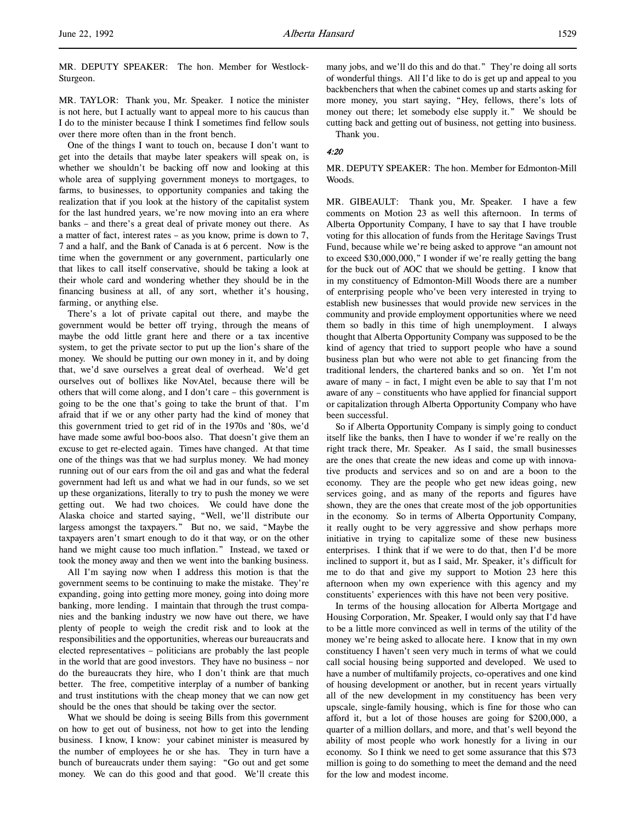MR. DEPUTY SPEAKER: The hon. Member for Westlock-Sturgeon.

MR. TAYLOR: Thank you, Mr. Speaker. I notice the minister is not here, but I actually want to appeal more to his caucus than I do to the minister because I think I sometimes find fellow souls over there more often than in the front bench.

One of the things I want to touch on, because I don't want to get into the details that maybe later speakers will speak on, is whether we shouldn't be backing off now and looking at this whole area of supplying government moneys to mortgages, to farms, to businesses, to opportunity companies and taking the realization that if you look at the history of the capitalist system for the last hundred years, we're now moving into an era where banks – and there's a great deal of private money out there. As a matter of fact, interest rates – as you know, prime is down to 7, 7 and a half, and the Bank of Canada is at 6 percent. Now is the time when the government or any government, particularly one that likes to call itself conservative, should be taking a look at their whole card and wondering whether they should be in the financing business at all, of any sort, whether it's housing, farming, or anything else.

There's a lot of private capital out there, and maybe the government would be better off trying, through the means of maybe the odd little grant here and there or a tax incentive system, to get the private sector to put up the lion's share of the money. We should be putting our own money in it, and by doing that, we'd save ourselves a great deal of overhead. We'd get ourselves out of bollixes like NovAtel, because there will be others that will come along, and I don't care – this government is going to be the one that's going to take the brunt of that. I'm afraid that if we or any other party had the kind of money that this government tried to get rid of in the 1970s and '80s, we'd have made some awful boo-boos also. That doesn't give them an excuse to get re-elected again. Times have changed. At that time one of the things was that we had surplus money. We had money running out of our ears from the oil and gas and what the federal government had left us and what we had in our funds, so we set up these organizations, literally to try to push the money we were getting out. We had two choices. We could have done the Alaska choice and started saying, "Well, we'll distribute our largess amongst the taxpayers." But no, we said, "Maybe the taxpayers aren't smart enough to do it that way, or on the other hand we might cause too much inflation." Instead, we taxed or took the money away and then we went into the banking business.

All I'm saying now when I address this motion is that the government seems to be continuing to make the mistake. They're expanding, going into getting more money, going into doing more banking, more lending. I maintain that through the trust companies and the banking industry we now have out there, we have plenty of people to weigh the credit risk and to look at the responsibilities and the opportunities, whereas our bureaucrats and elected representatives – politicians are probably the last people in the world that are good investors. They have no business – nor do the bureaucrats they hire, who I don't think are that much better. The free, competitive interplay of a number of banking and trust institutions with the cheap money that we can now get should be the ones that should be taking over the sector.

What we should be doing is seeing Bills from this government on how to get out of business, not how to get into the lending business. I know, I know: your cabinet minister is measured by the number of employees he or she has. They in turn have a bunch of bureaucrats under them saying: "Go out and get some money. We can do this good and that good. We'll create this

many jobs, and we'll do this and do that." They're doing all sorts of wonderful things. All I'd like to do is get up and appeal to you backbenchers that when the cabinet comes up and starts asking for more money, you start saying, "Hey, fellows, there's lots of money out there; let somebody else supply it." We should be cutting back and getting out of business, not getting into business. Thank you.

4:20

### MR. DEPUTY SPEAKER: The hon. Member for Edmonton-Mill Woods.

MR. GIBEAULT: Thank you, Mr. Speaker. I have a few comments on Motion 23 as well this afternoon. In terms of Alberta Opportunity Company, I have to say that I have trouble voting for this allocation of funds from the Heritage Savings Trust Fund, because while we're being asked to approve "an amount not to exceed \$30,000,000," I wonder if we're really getting the bang for the buck out of AOC that we should be getting. I know that in my constituency of Edmonton-Mill Woods there are a number of enterprising people who've been very interested in trying to establish new businesses that would provide new services in the community and provide employment opportunities where we need them so badly in this time of high unemployment. I always thought that Alberta Opportunity Company was supposed to be the kind of agency that tried to support people who have a sound business plan but who were not able to get financing from the traditional lenders, the chartered banks and so on. Yet I'm not aware of many – in fact, I might even be able to say that I'm not aware of any – constituents who have applied for financial support or capitalization through Alberta Opportunity Company who have been successful.

So if Alberta Opportunity Company is simply going to conduct itself like the banks, then I have to wonder if we're really on the right track there, Mr. Speaker. As I said, the small businesses are the ones that create the new ideas and come up with innovative products and services and so on and are a boon to the economy. They are the people who get new ideas going, new services going, and as many of the reports and figures have shown, they are the ones that create most of the job opportunities in the economy. So in terms of Alberta Opportunity Company, it really ought to be very aggressive and show perhaps more initiative in trying to capitalize some of these new business enterprises. I think that if we were to do that, then I'd be more inclined to support it, but as I said, Mr. Speaker, it's difficult for me to do that and give my support to Motion 23 here this afternoon when my own experience with this agency and my constituents' experiences with this have not been very positive.

In terms of the housing allocation for Alberta Mortgage and Housing Corporation, Mr. Speaker, I would only say that I'd have to be a little more convinced as well in terms of the utility of the money we're being asked to allocate here. I know that in my own constituency I haven't seen very much in terms of what we could call social housing being supported and developed. We used to have a number of multifamily projects, co-operatives and one kind of housing development or another, but in recent years virtually all of the new development in my constituency has been very upscale, single-family housing, which is fine for those who can afford it, but a lot of those houses are going for \$200,000, a quarter of a million dollars, and more, and that's well beyond the ability of most people who work honestly for a living in our economy. So I think we need to get some assurance that this \$73 million is going to do something to meet the demand and the need for the low and modest income.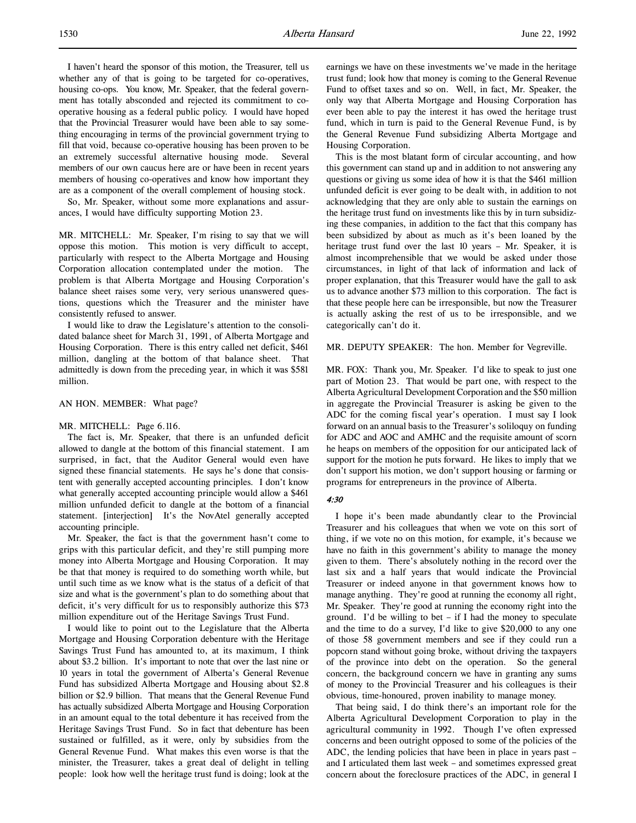I haven't heard the sponsor of this motion, the Treasurer, tell us whether any of that is going to be targeted for co-operatives, housing co-ops. You know, Mr. Speaker, that the federal government has totally absconded and rejected its commitment to cooperative housing as a federal public policy. I would have hoped that the Provincial Treasurer would have been able to say something encouraging in terms of the provincial government trying to fill that void, because co-operative housing has been proven to be an extremely successful alternative housing mode. Several members of our own caucus here are or have been in recent years members of housing co-operatives and know how important they are as a component of the overall complement of housing stock.

So, Mr. Speaker, without some more explanations and assurances, I would have difficulty supporting Motion 23.

MR. MITCHELL: Mr. Speaker, I'm rising to say that we will oppose this motion. This motion is very difficult to accept, particularly with respect to the Alberta Mortgage and Housing Corporation allocation contemplated under the motion. The problem is that Alberta Mortgage and Housing Corporation's balance sheet raises some very, very serious unanswered questions, questions which the Treasurer and the minister have consistently refused to answer.

I would like to draw the Legislature's attention to the consolidated balance sheet for March 31, 1991, of Alberta Mortgage and Housing Corporation. There is this entry called net deficit, \$461 million, dangling at the bottom of that balance sheet. That admittedly is down from the preceding year, in which it was \$581 million.

AN HON. MEMBER: What page?

#### MR. MITCHELL: Page 6.116.

The fact is, Mr. Speaker, that there is an unfunded deficit allowed to dangle at the bottom of this financial statement. I am surprised, in fact, that the Auditor General would even have signed these financial statements. He says he's done that consistent with generally accepted accounting principles. I don't know what generally accepted accounting principle would allow a \$461 million unfunded deficit to dangle at the bottom of a financial statement. [interjection] It's the NovAtel generally accepted accounting principle.

Mr. Speaker, the fact is that the government hasn't come to grips with this particular deficit, and they're still pumping more money into Alberta Mortgage and Housing Corporation. It may be that that money is required to do something worth while, but until such time as we know what is the status of a deficit of that size and what is the government's plan to do something about that deficit, it's very difficult for us to responsibly authorize this \$73 million expenditure out of the Heritage Savings Trust Fund.

I would like to point out to the Legislature that the Alberta Mortgage and Housing Corporation debenture with the Heritage Savings Trust Fund has amounted to, at its maximum, I think about \$3.2 billion. It's important to note that over the last nine or 10 years in total the government of Alberta's General Revenue Fund has subsidized Alberta Mortgage and Housing about \$2.8 billion or \$2.9 billion. That means that the General Revenue Fund has actually subsidized Alberta Mortgage and Housing Corporation in an amount equal to the total debenture it has received from the Heritage Savings Trust Fund. So in fact that debenture has been sustained or fulfilled, as it were, only by subsidies from the General Revenue Fund. What makes this even worse is that the minister, the Treasurer, takes a great deal of delight in telling people: look how well the heritage trust fund is doing; look at the

earnings we have on these investments we've made in the heritage trust fund; look how that money is coming to the General Revenue Fund to offset taxes and so on. Well, in fact, Mr. Speaker, the only way that Alberta Mortgage and Housing Corporation has ever been able to pay the interest it has owed the heritage trust fund, which in turn is paid to the General Revenue Fund, is by the General Revenue Fund subsidizing Alberta Mortgage and Housing Corporation.

This is the most blatant form of circular accounting, and how this government can stand up and in addition to not answering any questions or giving us some idea of how it is that the \$461 million unfunded deficit is ever going to be dealt with, in addition to not acknowledging that they are only able to sustain the earnings on the heritage trust fund on investments like this by in turn subsidizing these companies, in addition to the fact that this company has been subsidized by about as much as it's been loaned by the heritage trust fund over the last 10 years – Mr. Speaker, it is almost incomprehensible that we would be asked under those circumstances, in light of that lack of information and lack of proper explanation, that this Treasurer would have the gall to ask us to advance another \$73 million to this corporation. The fact is that these people here can be irresponsible, but now the Treasurer is actually asking the rest of us to be irresponsible, and we categorically can't do it.

MR. DEPUTY SPEAKER: The hon. Member for Vegreville.

MR. FOX: Thank you, Mr. Speaker. I'd like to speak to just one part of Motion 23. That would be part one, with respect to the Alberta Agricultural Development Corporation and the \$50 million in aggregate the Provincial Treasurer is asking be given to the ADC for the coming fiscal year's operation. I must say I look forward on an annual basis to the Treasurer's soliloquy on funding for ADC and AOC and AMHC and the requisite amount of scorn he heaps on members of the opposition for our anticipated lack of support for the motion he puts forward. He likes to imply that we don't support his motion, we don't support housing or farming or programs for entrepreneurs in the province of Alberta.

# 4:30

I hope it's been made abundantly clear to the Provincial Treasurer and his colleagues that when we vote on this sort of thing, if we vote no on this motion, for example, it's because we have no faith in this government's ability to manage the money given to them. There's absolutely nothing in the record over the last six and a half years that would indicate the Provincial Treasurer or indeed anyone in that government knows how to manage anything. They're good at running the economy all right, Mr. Speaker. They're good at running the economy right into the ground. I'd be willing to bet – if I had the money to speculate and the time to do a survey, I'd like to give \$20,000 to any one of those 58 government members and see if they could run a popcorn stand without going broke, without driving the taxpayers of the province into debt on the operation. So the general concern, the background concern we have in granting any sums of money to the Provincial Treasurer and his colleagues is their obvious, time-honoured, proven inability to manage money.

That being said, I do think there's an important role for the Alberta Agricultural Development Corporation to play in the agricultural community in 1992. Though I've often expressed concerns and been outright opposed to some of the policies of the ADC, the lending policies that have been in place in years past – and I articulated them last week – and sometimes expressed great concern about the foreclosure practices of the ADC, in general I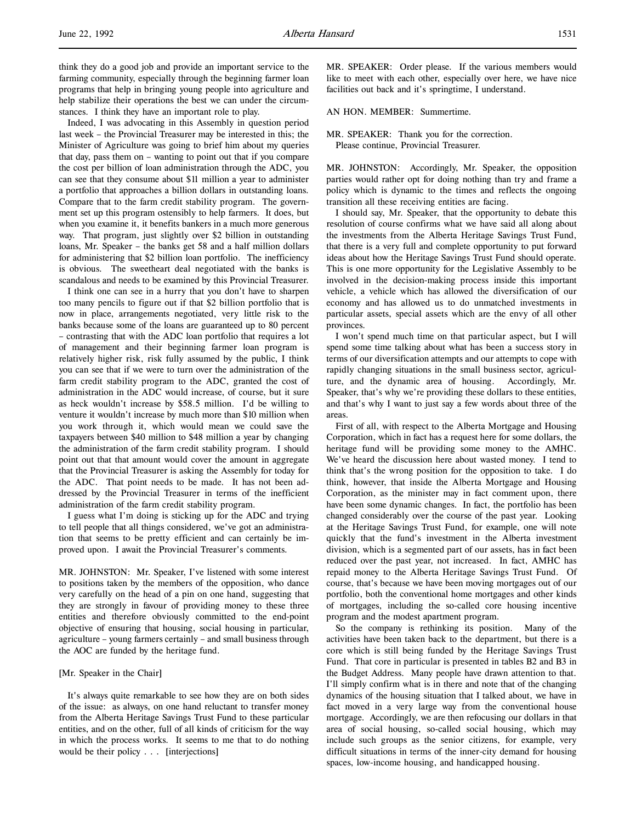Indeed, I was advocating in this Assembly in question period last week – the Provincial Treasurer may be interested in this; the Minister of Agriculture was going to brief him about my queries that day, pass them on – wanting to point out that if you compare the cost per billion of loan administration through the ADC, you can see that they consume about \$11 million a year to administer a portfolio that approaches a billion dollars in outstanding loans. Compare that to the farm credit stability program. The government set up this program ostensibly to help farmers. It does, but when you examine it, it benefits bankers in a much more generous way. That program, just slightly over \$2 billion in outstanding loans, Mr. Speaker – the banks get 58 and a half million dollars for administering that \$2 billion loan portfolio. The inefficiency is obvious. The sweetheart deal negotiated with the banks is scandalous and needs to be examined by this Provincial Treasurer.

I think one can see in a hurry that you don't have to sharpen too many pencils to figure out if that \$2 billion portfolio that is now in place, arrangements negotiated, very little risk to the banks because some of the loans are guaranteed up to 80 percent – contrasting that with the ADC loan portfolio that requires a lot of management and their beginning farmer loan program is relatively higher risk, risk fully assumed by the public, I think you can see that if we were to turn over the administration of the farm credit stability program to the ADC, granted the cost of administration in the ADC would increase, of course, but it sure as heck wouldn't increase by \$58.5 million. I'd be willing to venture it wouldn't increase by much more than \$10 million when you work through it, which would mean we could save the taxpayers between \$40 million to \$48 million a year by changing the administration of the farm credit stability program. I should point out that that amount would cover the amount in aggregate that the Provincial Treasurer is asking the Assembly for today for the ADC. That point needs to be made. It has not been addressed by the Provincial Treasurer in terms of the inefficient administration of the farm credit stability program.

I guess what I'm doing is sticking up for the ADC and trying to tell people that all things considered, we've got an administration that seems to be pretty efficient and can certainly be improved upon. I await the Provincial Treasurer's comments.

MR. JOHNSTON: Mr. Speaker, I've listened with some interest to positions taken by the members of the opposition, who dance very carefully on the head of a pin on one hand, suggesting that they are strongly in favour of providing money to these three entities and therefore obviously committed to the end-point objective of ensuring that housing, social housing in particular, agriculture – young farmers certainly – and small business through the AOC are funded by the heritage fund.

### [Mr. Speaker in the Chair]

It's always quite remarkable to see how they are on both sides of the issue: as always, on one hand reluctant to transfer money from the Alberta Heritage Savings Trust Fund to these particular entities, and on the other, full of all kinds of criticism for the way in which the process works. It seems to me that to do nothing would be their policy . . . [interjections]

MR. SPEAKER: Order please. If the various members would like to meet with each other, especially over here, we have nice facilities out back and it's springtime, I understand.

AN HON. MEMBER: Summertime.

### MR. SPEAKER: Thank you for the correction. Please continue, Provincial Treasurer.

MR. JOHNSTON: Accordingly, Mr. Speaker, the opposition parties would rather opt for doing nothing than try and frame a policy which is dynamic to the times and reflects the ongoing transition all these receiving entities are facing.

I should say, Mr. Speaker, that the opportunity to debate this resolution of course confirms what we have said all along about the investments from the Alberta Heritage Savings Trust Fund, that there is a very full and complete opportunity to put forward ideas about how the Heritage Savings Trust Fund should operate. This is one more opportunity for the Legislative Assembly to be involved in the decision-making process inside this important vehicle, a vehicle which has allowed the diversification of our economy and has allowed us to do unmatched investments in particular assets, special assets which are the envy of all other provinces.

I won't spend much time on that particular aspect, but I will spend some time talking about what has been a success story in terms of our diversification attempts and our attempts to cope with rapidly changing situations in the small business sector, agriculture, and the dynamic area of housing. Accordingly, Mr. Speaker, that's why we're providing these dollars to these entities, and that's why I want to just say a few words about three of the areas.

First of all, with respect to the Alberta Mortgage and Housing Corporation, which in fact has a request here for some dollars, the heritage fund will be providing some money to the AMHC. We've heard the discussion here about wasted money. I tend to think that's the wrong position for the opposition to take. I do think, however, that inside the Alberta Mortgage and Housing Corporation, as the minister may in fact comment upon, there have been some dynamic changes. In fact, the portfolio has been changed considerably over the course of the past year. Looking at the Heritage Savings Trust Fund, for example, one will note quickly that the fund's investment in the Alberta investment division, which is a segmented part of our assets, has in fact been reduced over the past year, not increased. In fact, AMHC has repaid money to the Alberta Heritage Savings Trust Fund. Of course, that's because we have been moving mortgages out of our portfolio, both the conventional home mortgages and other kinds of mortgages, including the so-called core housing incentive program and the modest apartment program.

So the company is rethinking its position. Many of the activities have been taken back to the department, but there is a core which is still being funded by the Heritage Savings Trust Fund. That core in particular is presented in tables B2 and B3 in the Budget Address. Many people have drawn attention to that. I'll simply confirm what is in there and note that of the changing dynamics of the housing situation that I talked about, we have in fact moved in a very large way from the conventional house mortgage. Accordingly, we are then refocusing our dollars in that area of social housing, so-called social housing, which may include such groups as the senior citizens, for example, very difficult situations in terms of the inner-city demand for housing spaces, low-income housing, and handicapped housing.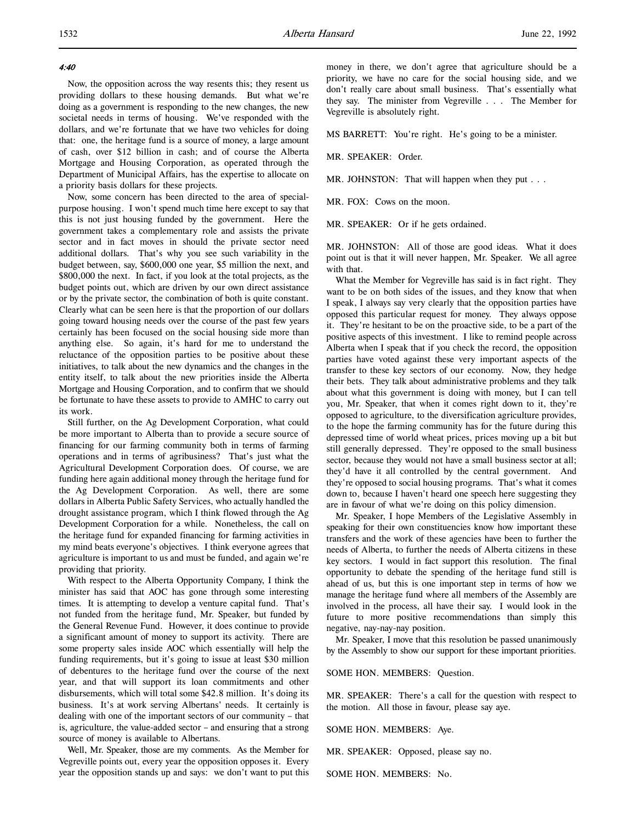### 4:40

Now, the opposition across the way resents this; they resent us providing dollars to these housing demands. But what we're doing as a government is responding to the new changes, the new societal needs in terms of housing. We've responded with the dollars, and we're fortunate that we have two vehicles for doing that: one, the heritage fund is a source of money, a large amount of cash, over \$12 billion in cash; and of course the Alberta Mortgage and Housing Corporation, as operated through the Department of Municipal Affairs, has the expertise to allocate on a priority basis dollars for these projects.

Now, some concern has been directed to the area of specialpurpose housing. I won't spend much time here except to say that this is not just housing funded by the government. Here the government takes a complementary role and assists the private sector and in fact moves in should the private sector need additional dollars. That's why you see such variability in the budget between, say, \$600,000 one year, \$5 million the next, and \$800,000 the next. In fact, if you look at the total projects, as the budget points out, which are driven by our own direct assistance or by the private sector, the combination of both is quite constant. Clearly what can be seen here is that the proportion of our dollars going toward housing needs over the course of the past few years certainly has been focused on the social housing side more than anything else. So again, it's hard for me to understand the reluctance of the opposition parties to be positive about these initiatives, to talk about the new dynamics and the changes in the entity itself, to talk about the new priorities inside the Alberta Mortgage and Housing Corporation, and to confirm that we should be fortunate to have these assets to provide to AMHC to carry out its work.

Still further, on the Ag Development Corporation, what could be more important to Alberta than to provide a secure source of financing for our farming community both in terms of farming operations and in terms of agribusiness? That's just what the Agricultural Development Corporation does. Of course, we are funding here again additional money through the heritage fund for the Ag Development Corporation. As well, there are some dollars in Alberta Public Safety Services, who actually handled the drought assistance program, which I think flowed through the Ag Development Corporation for a while. Nonetheless, the call on the heritage fund for expanded financing for farming activities in my mind beats everyone's objectives. I think everyone agrees that agriculture is important to us and must be funded, and again we're providing that priority.

With respect to the Alberta Opportunity Company, I think the minister has said that AOC has gone through some interesting times. It is attempting to develop a venture capital fund. That's not funded from the heritage fund, Mr. Speaker, but funded by the General Revenue Fund. However, it does continue to provide a significant amount of money to support its activity. There are some property sales inside AOC which essentially will help the funding requirements, but it's going to issue at least \$30 million of debentures to the heritage fund over the course of the next year, and that will support its loan commitments and other disbursements, which will total some \$42.8 million. It's doing its business. It's at work serving Albertans' needs. It certainly is dealing with one of the important sectors of our community – that is, agriculture, the value-added sector – and ensuring that a strong source of money is available to Albertans.

Well, Mr. Speaker, those are my comments. As the Member for Vegreville points out, every year the opposition opposes it. Every year the opposition stands up and says: we don't want to put this money in there, we don't agree that agriculture should be a priority, we have no care for the social housing side, and we don't really care about small business. That's essentially what they say. The minister from Vegreville . . . The Member for Vegreville is absolutely right.

MS BARRETT: You're right. He's going to be a minister.

MR. SPEAKER: Order.

MR. JOHNSTON: That will happen when they put . . .

MR. FOX: Cows on the moon.

MR. SPEAKER: Or if he gets ordained.

MR. JOHNSTON: All of those are good ideas. What it does point out is that it will never happen, Mr. Speaker. We all agree with that.

What the Member for Vegreville has said is in fact right. They want to be on both sides of the issues, and they know that when I speak, I always say very clearly that the opposition parties have opposed this particular request for money. They always oppose it. They're hesitant to be on the proactive side, to be a part of the positive aspects of this investment. I like to remind people across Alberta when I speak that if you check the record, the opposition parties have voted against these very important aspects of the transfer to these key sectors of our economy. Now, they hedge their bets. They talk about administrative problems and they talk about what this government is doing with money, but I can tell you, Mr. Speaker, that when it comes right down to it, they're opposed to agriculture, to the diversification agriculture provides, to the hope the farming community has for the future during this depressed time of world wheat prices, prices moving up a bit but still generally depressed. They're opposed to the small business sector, because they would not have a small business sector at all; they'd have it all controlled by the central government. And they're opposed to social housing programs. That's what it comes down to, because I haven't heard one speech here suggesting they are in favour of what we're doing on this policy dimension.

Mr. Speaker, I hope Members of the Legislative Assembly in speaking for their own constituencies know how important these transfers and the work of these agencies have been to further the needs of Alberta, to further the needs of Alberta citizens in these key sectors. I would in fact support this resolution. The final opportunity to debate the spending of the heritage fund still is ahead of us, but this is one important step in terms of how we manage the heritage fund where all members of the Assembly are involved in the process, all have their say. I would look in the future to more positive recommendations than simply this negative, nay-nay-nay position.

Mr. Speaker, I move that this resolution be passed unanimously by the Assembly to show our support for these important priorities.

#### SOME HON. MEMBERS: Question.

MR. SPEAKER: There's a call for the question with respect to the motion. All those in favour, please say aye.

SOME HON. MEMBERS: Aye.

MR. SPEAKER: Opposed, please say no.

SOME HON. MEMBERS: No.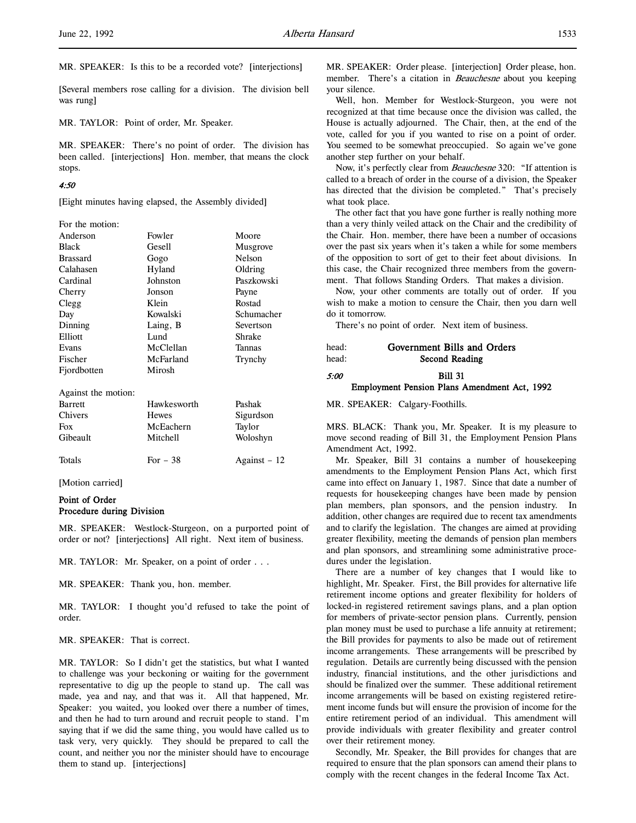[Several members rose calling for a division. The division bell was rung]

MR. TAYLOR: Point of order, Mr. Speaker.

MR. SPEAKER: There's no point of order. The division has been called. [interjections] Hon. member, that means the clock stops.

#### 4:50

[Eight minutes having elapsed, the Assembly divided]

| For the motion:     |              |               |  |  |  |
|---------------------|--------------|---------------|--|--|--|
| Anderson            | Fowler       | Moore         |  |  |  |
| <b>Black</b>        | Gesell       | Musgrove      |  |  |  |
| <b>Brassard</b>     | Gogo         | Nelson        |  |  |  |
| Calahasen           | Hyland       | Oldring       |  |  |  |
| Cardinal            | Johnston     | Paszkowski    |  |  |  |
| Cherry              | Jonson       | Payne         |  |  |  |
| Clegg               | Klein        | Rostad        |  |  |  |
| Day                 | Kowalski     | Schumacher    |  |  |  |
| Dinning             | Laing, B     | Severtson     |  |  |  |
| Elliott             | Lund         | Shrake        |  |  |  |
| Evans               | McClellan    | Tannas        |  |  |  |
| Fischer             | McFarland    | Trynchy       |  |  |  |
| Fjordbotten         | Mirosh       |               |  |  |  |
| Against the motion: |              |               |  |  |  |
| <b>Barrett</b>      | Hawkesworth  | Pashak        |  |  |  |
| Chivers             | <b>Hewes</b> | Sigurdson     |  |  |  |
| Fox                 | McEachern    | Taylor        |  |  |  |
| Gibeault            | Mitchell     | Woloshyn      |  |  |  |
| Totals              | For $-38$    | Against $-12$ |  |  |  |

[Motion carried]

## Point of Order Procedure during Division

MR. SPEAKER: Westlock-Sturgeon, on a purported point of order or not? [interjections] All right. Next item of business.

MR. TAYLOR: Mr. Speaker, on a point of order . . .

MR. SPEAKER: Thank you, hon. member.

MR. TAYLOR: I thought you'd refused to take the point of order.

MR. SPEAKER: That is correct.

MR. TAYLOR: So I didn't get the statistics, but what I wanted to challenge was your beckoning or waiting for the government representative to dig up the people to stand up. The call was made, yea and nay, and that was it. All that happened, Mr. Speaker: you waited, you looked over there a number of times, and then he had to turn around and recruit people to stand. I'm saying that if we did the same thing, you would have called us to task very, very quickly. They should be prepared to call the count, and neither you nor the minister should have to encourage them to stand up. [interjections]

MR. SPEAKER: Order please. [interjection] Order please, hon. member. There's a citation in Beauchesne about you keeping your silence.

Well, hon. Member for Westlock-Sturgeon, you were not recognized at that time because once the division was called, the House is actually adjourned. The Chair, then, at the end of the vote, called for you if you wanted to rise on a point of order. You seemed to be somewhat preoccupied. So again we've gone another step further on your behalf.

Now, it's perfectly clear from Beauchesne 320: "If attention is called to a breach of order in the course of a division, the Speaker has directed that the division be completed." That's precisely what took place.

The other fact that you have gone further is really nothing more than a very thinly veiled attack on the Chair and the credibility of the Chair. Hon. member, there have been a number of occasions over the past six years when it's taken a while for some members of the opposition to sort of get to their feet about divisions. In this case, the Chair recognized three members from the government. That follows Standing Orders. That makes a division.

Now, your other comments are totally out of order. If you wish to make a motion to censure the Chair, then you darn well do it tomorrow.

There's no point of order. Next item of business.

| head:<br>head: | Government Bills and Orders<br>Second Reading |               |  |                          |  |  |  |  |  |
|----------------|-----------------------------------------------|---------------|--|--------------------------|--|--|--|--|--|
| <i>5:00</i>    |                                               | $\sim$ $\sim$ |  | <b>Bill 31</b><br>$\sim$ |  |  |  |  |  |

#### Employment Pension Plans Amendment Act, 1992

MR. SPEAKER: Calgary-Foothills.

MRS. BLACK: Thank you, Mr. Speaker. It is my pleasure to move second reading of Bill 31, the Employment Pension Plans Amendment Act, 1992.

Mr. Speaker, Bill 31 contains a number of housekeeping amendments to the Employment Pension Plans Act, which first came into effect on January 1, 1987. Since that date a number of requests for housekeeping changes have been made by pension plan members, plan sponsors, and the pension industry. In addition, other changes are required due to recent tax amendments and to clarify the legislation. The changes are aimed at providing greater flexibility, meeting the demands of pension plan members and plan sponsors, and streamlining some administrative procedures under the legislation.

There are a number of key changes that I would like to highlight, Mr. Speaker. First, the Bill provides for alternative life retirement income options and greater flexibility for holders of locked-in registered retirement savings plans, and a plan option for members of private-sector pension plans. Currently, pension plan money must be used to purchase a life annuity at retirement; the Bill provides for payments to also be made out of retirement income arrangements. These arrangements will be prescribed by regulation. Details are currently being discussed with the pension industry, financial institutions, and the other jurisdictions and should be finalized over the summer. These additional retirement income arrangements will be based on existing registered retirement income funds but will ensure the provision of income for the entire retirement period of an individual. This amendment will provide individuals with greater flexibility and greater control over their retirement money.

Secondly, Mr. Speaker, the Bill provides for changes that are required to ensure that the plan sponsors can amend their plans to comply with the recent changes in the federal Income Tax Act.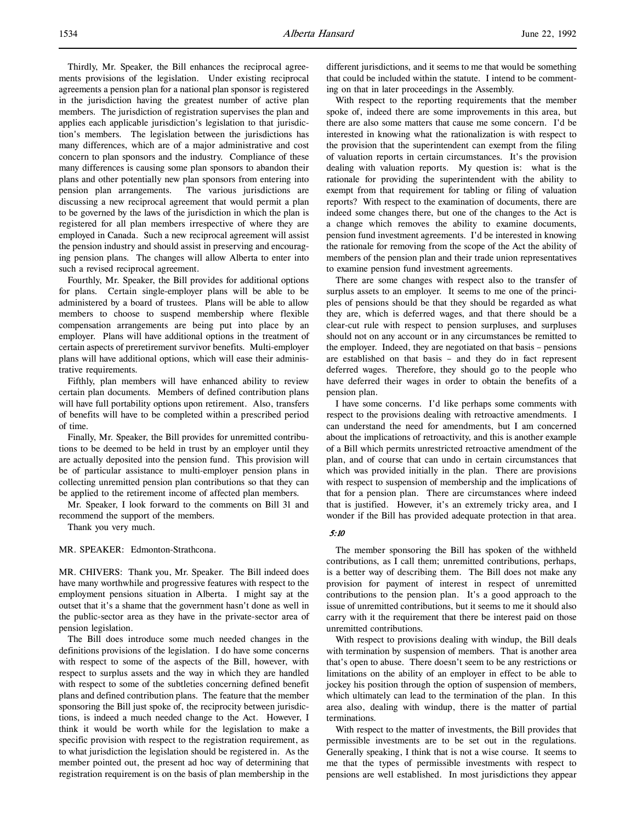Thirdly, Mr. Speaker, the Bill enhances the reciprocal agreements provisions of the legislation. Under existing reciprocal agreements a pension plan for a national plan sponsor is registered in the jurisdiction having the greatest number of active plan members. The jurisdiction of registration supervises the plan and applies each applicable jurisdiction's legislation to that jurisdiction's members. The legislation between the jurisdictions has many differences, which are of a major administrative and cost concern to plan sponsors and the industry. Compliance of these many differences is causing some plan sponsors to abandon their plans and other potentially new plan sponsors from entering into pension plan arrangements. The various jurisdictions are discussing a new reciprocal agreement that would permit a plan to be governed by the laws of the jurisdiction in which the plan is registered for all plan members irrespective of where they are employed in Canada. Such a new reciprocal agreement will assist the pension industry and should assist in preserving and encouraging pension plans. The changes will allow Alberta to enter into such a revised reciprocal agreement.

Fourthly, Mr. Speaker, the Bill provides for additional options for plans. Certain single-employer plans will be able to be administered by a board of trustees. Plans will be able to allow members to choose to suspend membership where flexible compensation arrangements are being put into place by an employer. Plans will have additional options in the treatment of certain aspects of preretirement survivor benefits. Multi-employer plans will have additional options, which will ease their administrative requirements.

Fifthly, plan members will have enhanced ability to review certain plan documents. Members of defined contribution plans will have full portability options upon retirement. Also, transfers of benefits will have to be completed within a prescribed period of time.

Finally, Mr. Speaker, the Bill provides for unremitted contributions to be deemed to be held in trust by an employer until they are actually deposited into the pension fund. This provision will be of particular assistance to multi-employer pension plans in collecting unremitted pension plan contributions so that they can be applied to the retirement income of affected plan members.

Mr. Speaker, I look forward to the comments on Bill 31 and recommend the support of the members.

Thank you very much.

MR. SPEAKER: Edmonton-Strathcona.

MR. CHIVERS: Thank you, Mr. Speaker. The Bill indeed does have many worthwhile and progressive features with respect to the employment pensions situation in Alberta. I might say at the outset that it's a shame that the government hasn't done as well in the public-sector area as they have in the private-sector area of pension legislation.

The Bill does introduce some much needed changes in the definitions provisions of the legislation. I do have some concerns with respect to some of the aspects of the Bill, however, with respect to surplus assets and the way in which they are handled with respect to some of the subtleties concerning defined benefit plans and defined contribution plans. The feature that the member sponsoring the Bill just spoke of, the reciprocity between jurisdictions, is indeed a much needed change to the Act. However, I think it would be worth while for the legislation to make a specific provision with respect to the registration requirement, as to what jurisdiction the legislation should be registered in. As the member pointed out, the present ad hoc way of determining that registration requirement is on the basis of plan membership in the

different jurisdictions, and it seems to me that would be something that could be included within the statute. I intend to be commenting on that in later proceedings in the Assembly.

With respect to the reporting requirements that the member spoke of, indeed there are some improvements in this area, but there are also some matters that cause me some concern. I'd be interested in knowing what the rationalization is with respect to the provision that the superintendent can exempt from the filing of valuation reports in certain circumstances. It's the provision dealing with valuation reports. My question is: what is the rationale for providing the superintendent with the ability to exempt from that requirement for tabling or filing of valuation reports? With respect to the examination of documents, there are indeed some changes there, but one of the changes to the Act is a change which removes the ability to examine documents, pension fund investment agreements. I'd be interested in knowing the rationale for removing from the scope of the Act the ability of members of the pension plan and their trade union representatives to examine pension fund investment agreements.

There are some changes with respect also to the transfer of surplus assets to an employer. It seems to me one of the principles of pensions should be that they should be regarded as what they are, which is deferred wages, and that there should be a clear-cut rule with respect to pension surpluses, and surpluses should not on any account or in any circumstances be remitted to the employer. Indeed, they are negotiated on that basis – pensions are established on that basis – and they do in fact represent deferred wages. Therefore, they should go to the people who have deferred their wages in order to obtain the benefits of a pension plan.

I have some concerns. I'd like perhaps some comments with respect to the provisions dealing with retroactive amendments. I can understand the need for amendments, but I am concerned about the implications of retroactivity, and this is another example of a Bill which permits unrestricted retroactive amendment of the plan, and of course that can undo in certain circumstances that which was provided initially in the plan. There are provisions with respect to suspension of membership and the implications of that for a pension plan. There are circumstances where indeed that is justified. However, it's an extremely tricky area, and I wonder if the Bill has provided adequate protection in that area.

# 5:10

The member sponsoring the Bill has spoken of the withheld contributions, as I call them; unremitted contributions, perhaps, is a better way of describing them. The Bill does not make any provision for payment of interest in respect of unremitted contributions to the pension plan. It's a good approach to the issue of unremitted contributions, but it seems to me it should also carry with it the requirement that there be interest paid on those unremitted contributions.

With respect to provisions dealing with windup, the Bill deals with termination by suspension of members. That is another area that's open to abuse. There doesn't seem to be any restrictions or limitations on the ability of an employer in effect to be able to jockey his position through the option of suspension of members, which ultimately can lead to the termination of the plan. In this area also, dealing with windup, there is the matter of partial terminations.

With respect to the matter of investments, the Bill provides that permissible investments are to be set out in the regulations. Generally speaking, I think that is not a wise course. It seems to me that the types of permissible investments with respect to pensions are well established. In most jurisdictions they appear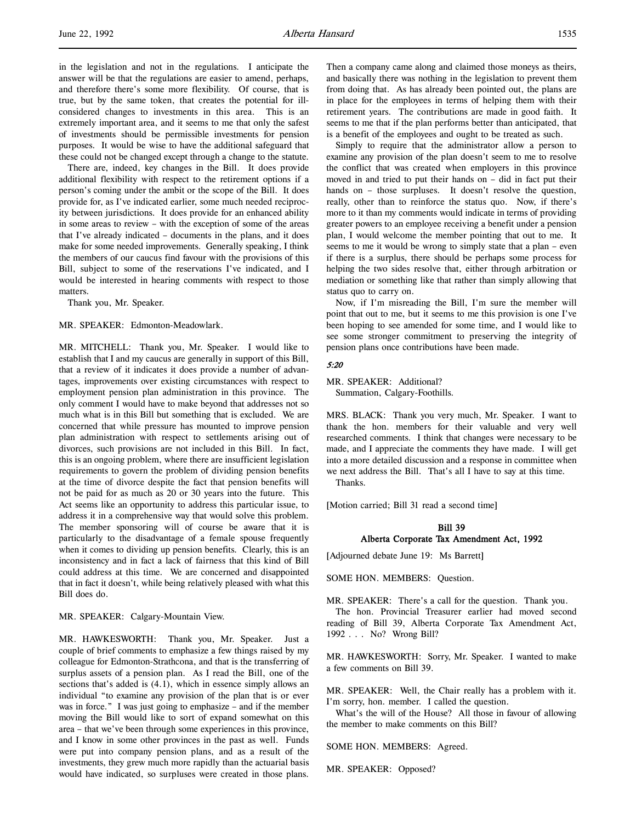in the legislation and not in the regulations. I anticipate the answer will be that the regulations are easier to amend, perhaps, and therefore there's some more flexibility. Of course, that is true, but by the same token, that creates the potential for illconsidered changes to investments in this area. This is an extremely important area, and it seems to me that only the safest of investments should be permissible investments for pension purposes. It would be wise to have the additional safeguard that these could not be changed except through a change to the statute.

There are, indeed, key changes in the Bill. It does provide additional flexibility with respect to the retirement options if a person's coming under the ambit or the scope of the Bill. It does provide for, as I've indicated earlier, some much needed reciprocity between jurisdictions. It does provide for an enhanced ability in some areas to review – with the exception of some of the areas that I've already indicated – documents in the plans, and it does make for some needed improvements. Generally speaking, I think the members of our caucus find favour with the provisions of this Bill, subject to some of the reservations I've indicated, and I would be interested in hearing comments with respect to those matters.

Thank you, Mr. Speaker.

MR. SPEAKER: Edmonton-Meadowlark.

MR. MITCHELL: Thank you, Mr. Speaker. I would like to establish that I and my caucus are generally in support of this Bill, that a review of it indicates it does provide a number of advantages, improvements over existing circumstances with respect to employment pension plan administration in this province. The only comment I would have to make beyond that addresses not so much what is in this Bill but something that is excluded. We are concerned that while pressure has mounted to improve pension plan administration with respect to settlements arising out of divorces, such provisions are not included in this Bill. In fact, this is an ongoing problem, where there are insufficient legislation requirements to govern the problem of dividing pension benefits at the time of divorce despite the fact that pension benefits will not be paid for as much as 20 or 30 years into the future. This Act seems like an opportunity to address this particular issue, to address it in a comprehensive way that would solve this problem. The member sponsoring will of course be aware that it is particularly to the disadvantage of a female spouse frequently when it comes to dividing up pension benefits. Clearly, this is an inconsistency and in fact a lack of fairness that this kind of Bill could address at this time. We are concerned and disappointed that in fact it doesn't, while being relatively pleased with what this Bill does do.

MR. SPEAKER: Calgary-Mountain View.

MR. HAWKESWORTH: Thank you, Mr. Speaker. Just a couple of brief comments to emphasize a few things raised by my colleague for Edmonton-Strathcona, and that is the transferring of surplus assets of a pension plan. As I read the Bill, one of the sections that's added is (4.1), which in essence simply allows an individual "to examine any provision of the plan that is or ever was in force." I was just going to emphasize – and if the member moving the Bill would like to sort of expand somewhat on this area – that we've been through some experiences in this province, and I know in some other provinces in the past as well. Funds were put into company pension plans, and as a result of the investments, they grew much more rapidly than the actuarial basis would have indicated, so surpluses were created in those plans.

Then a company came along and claimed those moneys as theirs, and basically there was nothing in the legislation to prevent them from doing that. As has already been pointed out, the plans are in place for the employees in terms of helping them with their retirement years. The contributions are made in good faith. It seems to me that if the plan performs better than anticipated, that is a benefit of the employees and ought to be treated as such.

Simply to require that the administrator allow a person to examine any provision of the plan doesn't seem to me to resolve the conflict that was created when employers in this province moved in and tried to put their hands on – did in fact put their hands on - those surpluses. It doesn't resolve the question, really, other than to reinforce the status quo. Now, if there's more to it than my comments would indicate in terms of providing greater powers to an employee receiving a benefit under a pension plan, I would welcome the member pointing that out to me. It seems to me it would be wrong to simply state that a plan – even if there is a surplus, there should be perhaps some process for helping the two sides resolve that, either through arbitration or mediation or something like that rather than simply allowing that status quo to carry on.

Now, if I'm misreading the Bill, I'm sure the member will point that out to me, but it seems to me this provision is one I've been hoping to see amended for some time, and I would like to see some stronger commitment to preserving the integrity of pension plans once contributions have been made.

### 5:20

MR. SPEAKER: Additional? Summation, Calgary-Foothills.

MRS. BLACK: Thank you very much, Mr. Speaker. I want to thank the hon. members for their valuable and very well researched comments. I think that changes were necessary to be made, and I appreciate the comments they have made. I will get into a more detailed discussion and a response in committee when we next address the Bill. That's all I have to say at this time. Thanks.

[Motion carried; Bill 31 read a second time]

# Bill 39 Alberta Corporate Tax Amendment Act, 1992

[Adjourned debate June 19: Ms Barrett]

SOME HON. MEMBERS: Question.

MR. SPEAKER: There's a call for the question. Thank you. The hon. Provincial Treasurer earlier had moved second reading of Bill 39, Alberta Corporate Tax Amendment Act, 1992 . . . No? Wrong Bill?

MR. HAWKESWORTH: Sorry, Mr. Speaker. I wanted to make a few comments on Bill 39.

MR. SPEAKER: Well, the Chair really has a problem with it. I'm sorry, hon. member. I called the question.

What's the will of the House? All those in favour of allowing the member to make comments on this Bill?

SOME HON. MEMBERS: Agreed.

MR. SPEAKER: Opposed?